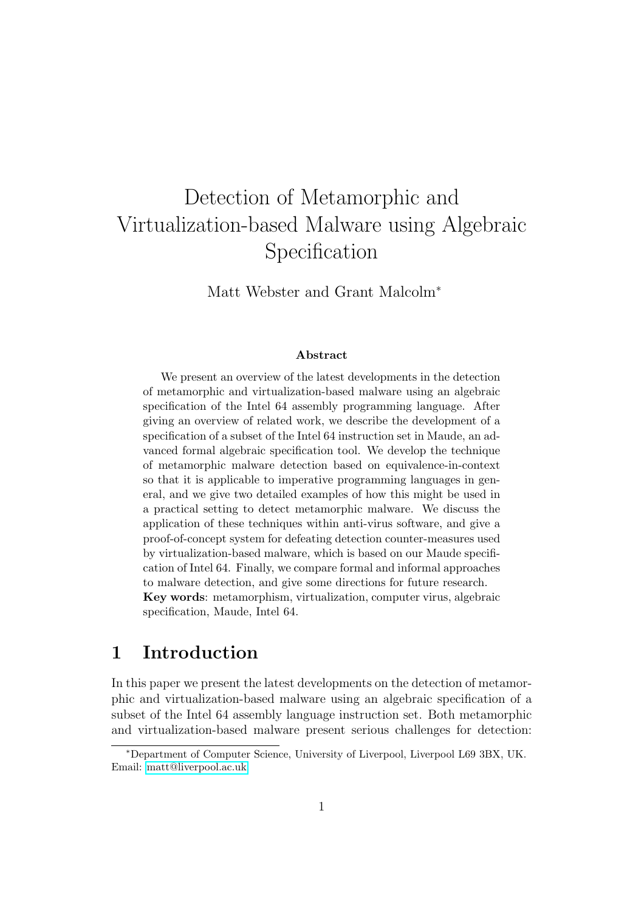# Detection of Metamorphic and Virtualization-based Malware using Algebraic Specification

Matt Webster and Grant Malcolm<sup>∗</sup>

#### Abstract

We present an overview of the latest developments in the detection of metamorphic and virtualization-based malware using an algebraic specification of the Intel 64 assembly programming language. After giving an overview of related work, we describe the development of a specification of a subset of the Intel 64 instruction set in Maude, an advanced formal algebraic specification tool. We develop the technique of metamorphic malware detection based on equivalence-in-context so that it is applicable to imperative programming languages in general, and we give two detailed examples of how this might be used in a practical setting to detect metamorphic malware. We discuss the application of these techniques within anti-virus software, and give a proof-of-concept system for defeating detection counter-measures used by virtualization-based malware, which is based on our Maude specification of Intel 64. Finally, we compare formal and informal approaches to malware detection, and give some directions for future research. Key words: metamorphism, virtualization, computer virus, algebraic specification, Maude, Intel 64.

# 1 Introduction

In this paper we present the latest developments on the detection of metamorphic and virtualization-based malware using an algebraic specification of a subset of the Intel 64 assembly language instruction set. Both metamorphic and virtualization-based malware present serious challenges for detection:

<sup>∗</sup>Department of Computer Science, University of Liverpool, Liverpool L69 3BX, UK. Email: [matt@liverpool.ac.uk.](mailto:matt@liverpool.ac.uk)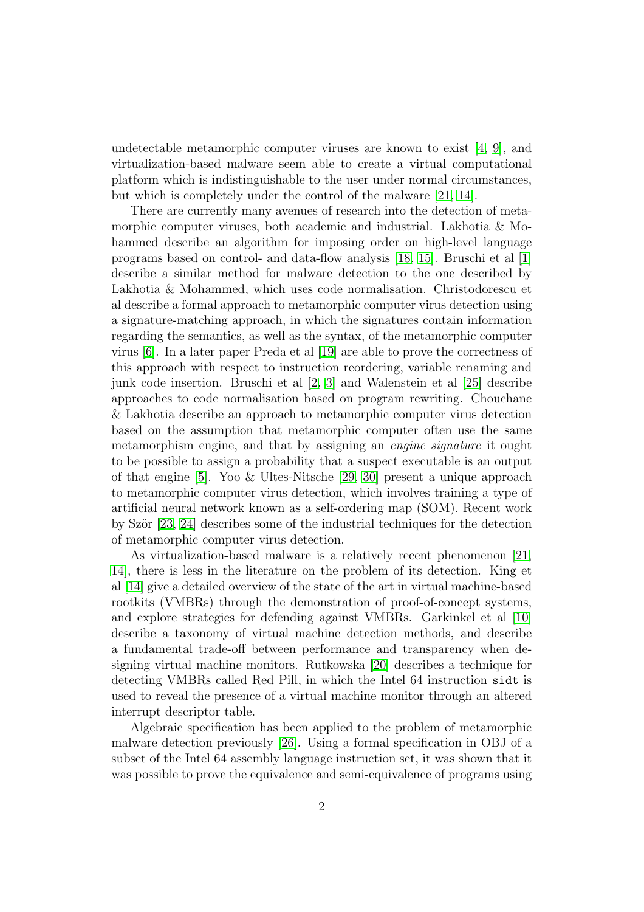undetectable metamorphic computer viruses are known to exist [\[4,](#page-31-0) [9\]](#page-32-0), and virtualization-based malware seem able to create a virtual computational platform which is indistinguishable to the user under normal circumstances, but which is completely under the control of the malware [\[21,](#page-33-0) [14\]](#page-32-1).

There are currently many avenues of research into the detection of metamorphic computer viruses, both academic and industrial. Lakhotia & Mohammed describe an algorithm for imposing order on high-level language programs based on control- and data-flow analysis [\[18,](#page-33-1) [15\]](#page-32-2). Bruschi et al [\[1\]](#page-31-1) describe a similar method for malware detection to the one described by Lakhotia & Mohammed, which uses code normalisation. Christodorescu et al describe a formal approach to metamorphic computer virus detection using a signature-matching approach, in which the signatures contain information regarding the semantics, as well as the syntax, of the metamorphic computer virus [\[6\]](#page-31-2). In a later paper Preda et al [\[19\]](#page-33-2) are able to prove the correctness of this approach with respect to instruction reordering, variable renaming and junk code insertion. Bruschi et al [\[2,](#page-31-3) [3\]](#page-31-4) and Walenstein et al [\[25\]](#page-33-3) describe approaches to code normalisation based on program rewriting. Chouchane & Lakhotia describe an approach to metamorphic computer virus detection based on the assumption that metamorphic computer often use the same metamorphism engine, and that by assigning an engine signature it ought to be possible to assign a probability that a suspect executable is an output of that engine [\[5\]](#page-31-5). Yoo & Ultes-Nitsche [\[29,](#page-34-0) [30\]](#page-34-1) present a unique approach to metamorphic computer virus detection, which involves training a type of artificial neural network known as a self-ordering map (SOM). Recent work by Ször  $[23, 24]$  $[23, 24]$  describes some of the industrial techniques for the detection of metamorphic computer virus detection.

As virtualization-based malware is a relatively recent phenomenon [\[21,](#page-33-0) [14\]](#page-32-1), there is less in the literature on the problem of its detection. King et al [\[14\]](#page-32-1) give a detailed overview of the state of the art in virtual machine-based rootkits (VMBRs) through the demonstration of proof-of-concept systems, and explore strategies for defending against VMBRs. Garkinkel et al [\[10\]](#page-32-3) describe a taxonomy of virtual machine detection methods, and describe a fundamental trade-off between performance and transparency when designing virtual machine monitors. Rutkowska [\[20\]](#page-33-6) describes a technique for detecting VMBRs called Red Pill, in which the Intel 64 instruction sidt is used to reveal the presence of a virtual machine monitor through an altered interrupt descriptor table.

Algebraic specification has been applied to the problem of metamorphic malware detection previously [\[26\]](#page-33-7). Using a formal specification in OBJ of a subset of the Intel 64 assembly language instruction set, it was shown that it was possible to prove the equivalence and semi-equivalence of programs using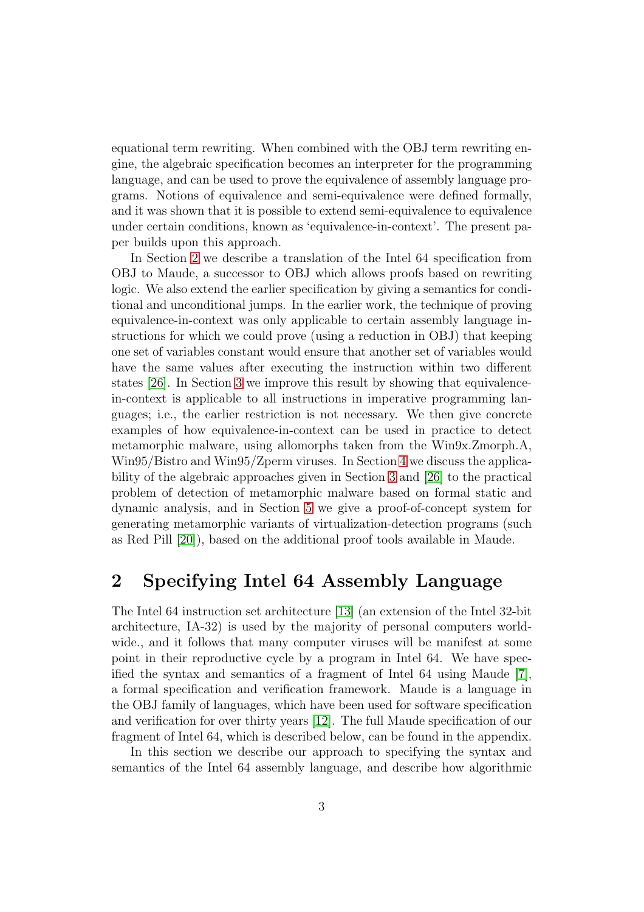equational term rewriting. When combined with the OBJ term rewriting engine, the algebraic specification becomes an interpreter for the programming language, and can be used to prove the equivalence of assembly language programs. Notions of equivalence and semi-equivalence were defined formally, and it was shown that it is possible to extend semi-equivalence to equivalence under certain conditions, known as 'equivalence-in-context'. The present paper builds upon this approach.

In Section [2](#page-2-0) we describe a translation of the Intel 64 specification from OBJ to Maude, a successor to OBJ which allows proofs based on rewriting logic. We also extend the earlier specification by giving a semantics for conditional and unconditional jumps. In the earlier work, the technique of proving equivalence-in-context was only applicable to certain assembly language instructions for which we could prove (using a reduction in OBJ) that keeping one set of variables constant would ensure that another set of variables would have the same values after executing the instruction within two different states [\[26\]](#page-33-7). In Section [3](#page-9-0) we improve this result by showing that equivalencein-context is applicable to all instructions in imperative programming languages; i.e., the earlier restriction is not necessary. We then give concrete examples of how equivalence-in-context can be used in practice to detect metamorphic malware, using allomorphs taken from the Win9x.Zmorph.A, Win95/Bistro and Win95/Zperm viruses. In Section [4](#page-21-0) we discuss the applicability of the algebraic approaches given in Section [3](#page-9-0) and [\[26\]](#page-33-7) to the practical problem of detection of metamorphic malware based on formal static and dynamic analysis, and in Section [5](#page-24-0) we give a proof-of-concept system for generating metamorphic variants of virtualization-detection programs (such as Red Pill [\[20\]](#page-33-6)), based on the additional proof tools available in Maude.

## <span id="page-2-0"></span>2 Specifying Intel 64 Assembly Language

The Intel 64 instruction set architecture [\[13\]](#page-32-4) (an extension of the Intel 32-bit architecture, IA-32) is used by the majority of personal computers worldwide., and it follows that many computer viruses will be manifest at some point in their reproductive cycle by a program in Intel 64. We have specified the syntax and semantics of a fragment of Intel 64 using Maude [\[7\]](#page-32-5), a formal specification and verification framework. Maude is a language in the OBJ family of languages, which have been used for software specification and verification for over thirty years [\[12\]](#page-32-6). The full Maude specification of our fragment of Intel 64, which is described below, can be found in the appendix.

In this section we describe our approach to specifying the syntax and semantics of the Intel 64 assembly language, and describe how algorithmic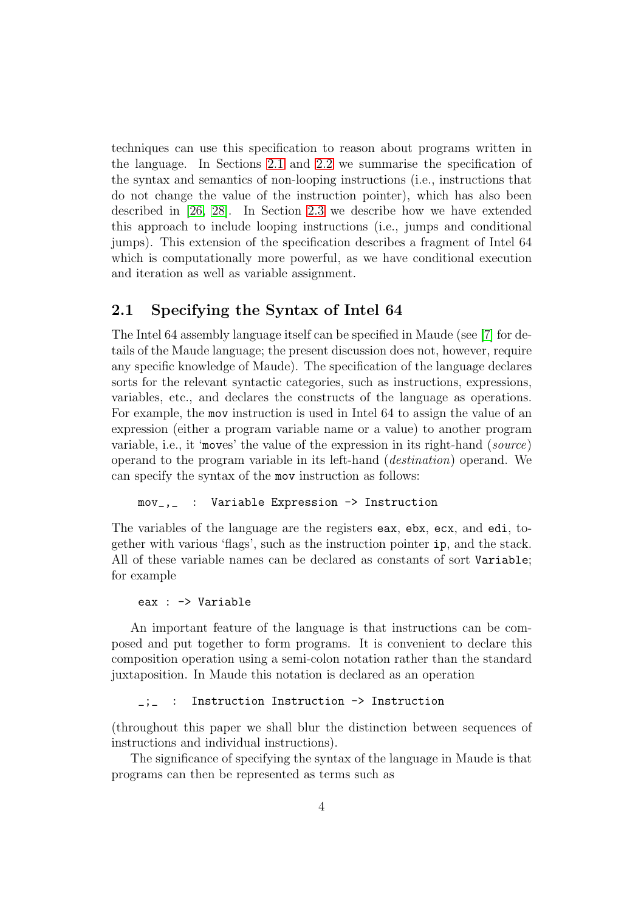techniques can use this specification to reason about programs written in the language. In Sections [2.1](#page-3-0) and [2.2](#page-4-0) we summarise the specification of the syntax and semantics of non-looping instructions (i.e., instructions that do not change the value of the instruction pointer), which has also been described in [\[26,](#page-33-7) [28\]](#page-33-8). In Section [2.3](#page-5-0) we describe how we have extended this approach to include looping instructions (i.e., jumps and conditional jumps). This extension of the specification describes a fragment of Intel 64 which is computationally more powerful, as we have conditional execution and iteration as well as variable assignment.

### <span id="page-3-0"></span>2.1 Specifying the Syntax of Intel 64

The Intel 64 assembly language itself can be specified in Maude (see [\[7\]](#page-32-5) for details of the Maude language; the present discussion does not, however, require any specific knowledge of Maude). The specification of the language declares sorts for the relevant syntactic categories, such as instructions, expressions, variables, etc., and declares the constructs of the language as operations. For example, the mov instruction is used in Intel 64 to assign the value of an expression (either a program variable name or a value) to another program variable, i.e., it 'moves' the value of the expression in its right-hand (source) operand to the program variable in its left-hand (destination) operand. We can specify the syntax of the mov instruction as follows:

mov\_,\_ : Variable Expression -> Instruction

The variables of the language are the registers eax, ebx, ecx, and edi, together with various 'flags', such as the instruction pointer ip, and the stack. All of these variable names can be declared as constants of sort Variable; for example

```
eax : -> Variable
```
An important feature of the language is that instructions can be composed and put together to form programs. It is convenient to declare this composition operation using a semi-colon notation rather than the standard juxtaposition. In Maude this notation is declared as an operation

\_;\_ : Instruction Instruction -> Instruction

(throughout this paper we shall blur the distinction between sequences of instructions and individual instructions).

The significance of specifying the syntax of the language in Maude is that programs can then be represented as terms such as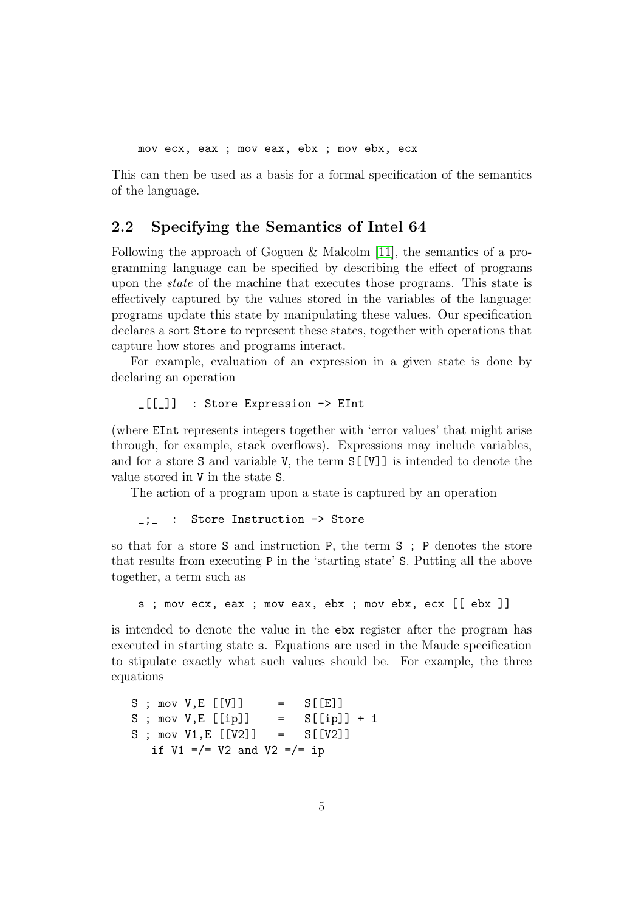mov ecx, eax ; mov eax, ebx ; mov ebx, ecx

This can then be used as a basis for a formal specification of the semantics of the language.

### <span id="page-4-0"></span>2.2 Specifying the Semantics of Intel 64

Following the approach of Goguen & Malcolm [\[11\]](#page-32-7), the semantics of a programming language can be specified by describing the effect of programs upon the state of the machine that executes those programs. This state is effectively captured by the values stored in the variables of the language: programs update this state by manipulating these values. Our specification declares a sort Store to represent these states, together with operations that capture how stores and programs interact.

For example, evaluation of an expression in a given state is done by declaring an operation

\_[[\_]] : Store Expression -> EInt

(where EInt represents integers together with 'error values' that might arise through, for example, stack overflows). Expressions may include variables, and for a store S and variable V, the term S[[V]] is intended to denote the value stored in V in the state S.

The action of a program upon a state is captured by an operation

\_;\_ : Store Instruction -> Store

so that for a store S and instruction P, the term S ; P denotes the store that results from executing P in the 'starting state' S. Putting all the above together, a term such as

s ; mov ecx, eax ; mov eax, ebx ; mov ebx, ecx [[ ebx ]]

is intended to denote the value in the ebx register after the program has executed in starting state s. Equations are used in the Maude specification to stipulate exactly what such values should be. For example, the three equations

```
S; mov V, E [[V]] = S[[E]]
S; mov V, E [[ip]] = S[[ip]] + 1
S; mov V1, E [[V2]] = S[[V2]]
  if V1 = / = V2 and V2 = / = ip
```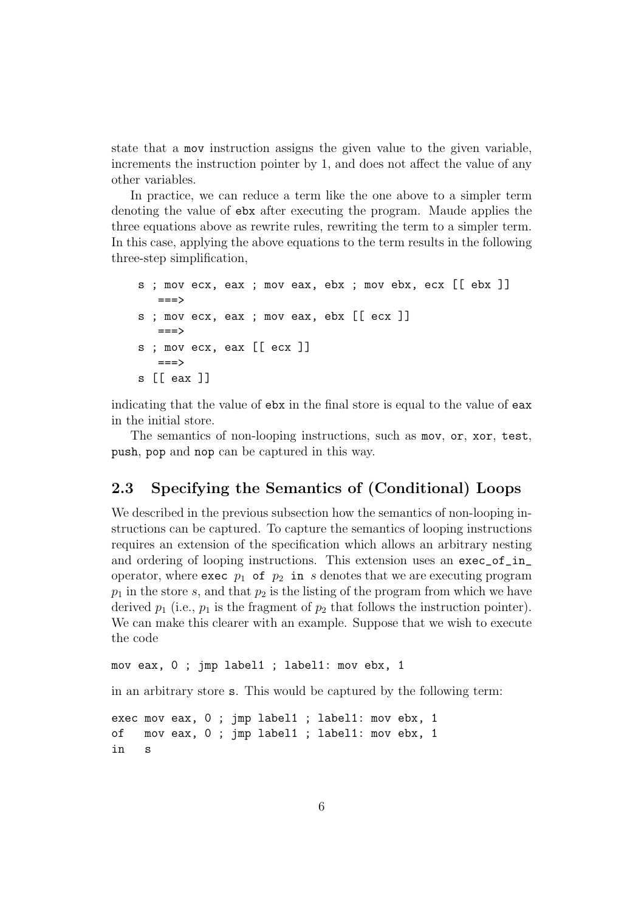state that a mov instruction assigns the given value to the given variable, increments the instruction pointer by 1, and does not affect the value of any other variables.

In practice, we can reduce a term like the one above to a simpler term denoting the value of ebx after executing the program. Maude applies the three equations above as rewrite rules, rewriting the term to a simpler term. In this case, applying the above equations to the term results in the following three-step simplification,

```
s ; mov ecx, eax ; mov eax, ebx ; mov ebx, ecx [[ ebx ]]
  ==s ; mov ecx, eax ; mov eax, ebx [[ ecx ]]
  ==s ; mov ecx, eax [[ ecx ]]
  ===>
s [[ eax ]]
```
indicating that the value of ebx in the final store is equal to the value of eax in the initial store.

The semantics of non-looping instructions, such as mov, or, xor, test, push, pop and nop can be captured in this way.

## <span id="page-5-0"></span>2.3 Specifying the Semantics of (Conditional) Loops

We described in the previous subsection how the semantics of non-looping instructions can be captured. To capture the semantics of looping instructions requires an extension of the specification which allows an arbitrary nesting and ordering of looping instructions. This extension uses an exec\_of\_in\_ operator, where exec  $p_1$  of  $p_2$  in s denotes that we are executing program  $p_1$  in the store s, and that  $p_2$  is the listing of the program from which we have derived  $p_1$  (i.e.,  $p_1$  is the fragment of  $p_2$  that follows the instruction pointer). We can make this clearer with an example. Suppose that we wish to execute the code

mov eax, 0 ; jmp label1 ; label1: mov ebx, 1

in an arbitrary store s. This would be captured by the following term:

```
exec mov eax, 0 ; jmp label1 ; label1: mov ebx, 1
of mov eax, 0 ; jmp label1 ; label1: mov ebx, 1
in s
```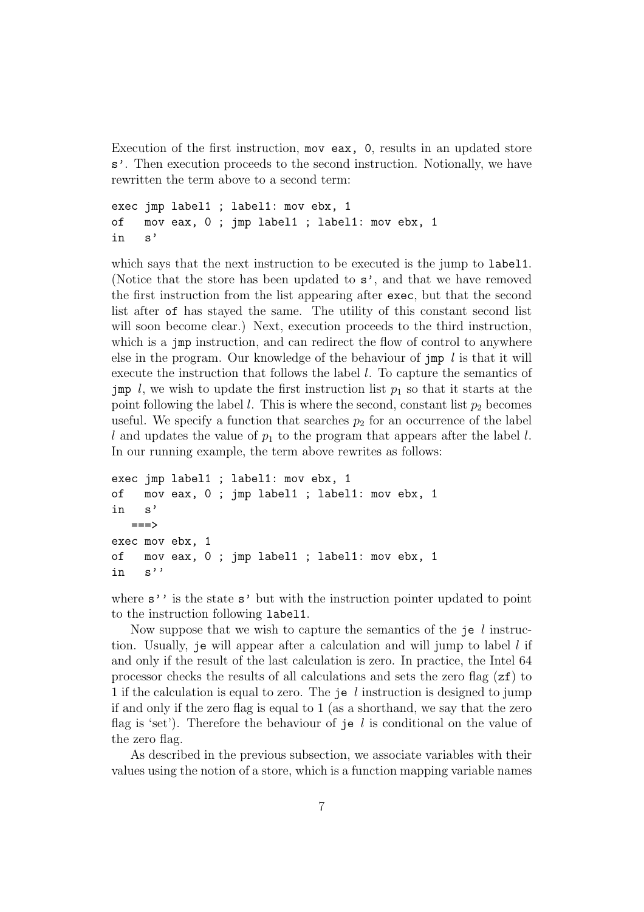Execution of the first instruction, mov eax, 0, results in an updated store s'. Then execution proceeds to the second instruction. Notionally, we have rewritten the term above to a second term:

```
exec jmp label1 ; label1: mov ebx, 1
of mov eax, 0 ; jmp label1 ; label1: mov ebx, 1
in s'
```
which says that the next instruction to be executed is the jump to labell. (Notice that the store has been updated to s', and that we have removed the first instruction from the list appearing after exec, but that the second list after of has stayed the same. The utility of this constant second list will soon become clear.) Next, execution proceeds to the third instruction, which is a jmp instruction, and can redirect the flow of control to anywhere else in the program. Our knowledge of the behaviour of jmp  $l$  is that it will execute the instruction that follows the label l. To capture the semantics of jmp l, we wish to update the first instruction list  $p_1$  so that it starts at the point following the label l. This is where the second, constant list  $p_2$  becomes useful. We specify a function that searches  $p_2$  for an occurrence of the label l and updates the value of  $p_1$  to the program that appears after the label l. In our running example, the term above rewrites as follows:

```
exec jmp label1 ; label1: mov ebx, 1
of mov eax, 0 ; jmp label1 ; label1: mov ebx, 1
in s'
  ===>
exec mov ebx, 1
of mov eax, 0 ; jmp label1 ; label1: mov ebx, 1
in s''
```
where  $s'$  is the state  $s'$  but with the instruction pointer updated to point to the instruction following label1.

Now suppose that we wish to capture the semantics of the je  $l$  instruction. Usually, je will appear after a calculation and will jump to label  $l$  if and only if the result of the last calculation is zero. In practice, the Intel 64 processor checks the results of all calculations and sets the zero flag  $(zf)$  to 1 if the calculation is equal to zero. The je  $l$  instruction is designed to jump if and only if the zero flag is equal to 1 (as a shorthand, we say that the zero flag is 'set'). Therefore the behaviour of je l is conditional on the value of the zero flag.

As described in the previous subsection, we associate variables with their values using the notion of a store, which is a function mapping variable names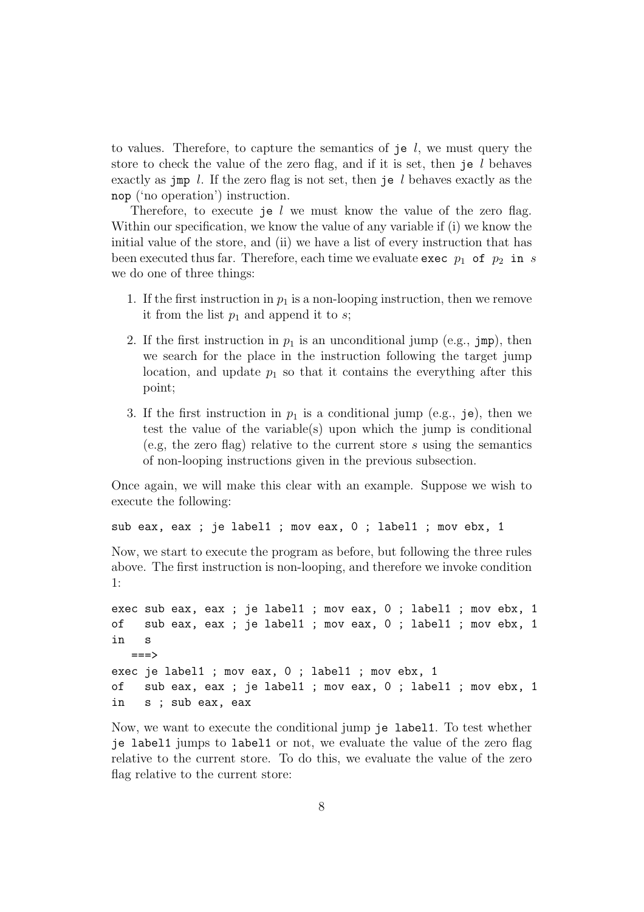to values. Therefore, to capture the semantics of je  $l$ , we must query the store to check the value of the zero flag, and if it is set, then je  $l$  behaves exactly as jmp  $l$ . If the zero flag is not set, then je  $l$  behaves exactly as the nop ('no operation') instruction.

Therefore, to execute je  $l$  we must know the value of the zero flag. Within our specification, we know the value of any variable if (i) we know the initial value of the store, and (ii) we have a list of every instruction that has been executed thus far. Therefore, each time we evaluate exec  $p_1$  of  $p_2$  in s we do one of three things:

- 1. If the first instruction in  $p_1$  is a non-looping instruction, then we remove it from the list  $p_1$  and append it to s;
- 2. If the first instruction in  $p_1$  is an unconditional jump (e.g., jmp), then we search for the place in the instruction following the target jump location, and update  $p_1$  so that it contains the everything after this point;
- 3. If the first instruction in  $p_1$  is a conditional jump (e.g., je), then we test the value of the variable(s) upon which the jump is conditional (e.g, the zero flag) relative to the current store s using the semantics of non-looping instructions given in the previous subsection.

Once again, we will make this clear with an example. Suppose we wish to execute the following:

sub eax, eax ; je label1 ; mov eax, 0 ; label1 ; mov ebx, 1

Now, we start to execute the program as before, but following the three rules above. The first instruction is non-looping, and therefore we invoke condition 1:

```
exec sub eax, eax ; je label1 ; mov eax, 0 ; label1 ; mov ebx, 1
of sub eax, eax ; je label1 ; mov eax, 0 ; label1 ; mov ebx, 1
in s
  ==->exec je label1 ; mov eax, 0 ; label1 ; mov ebx, 1
of sub eax, eax ; je label1 ; mov eax, 0 ; label1 ; mov ebx, 1
in s ; sub eax, eax
```
Now, we want to execute the conditional jump je label1. To test whether je label1 jumps to label1 or not, we evaluate the value of the zero flag relative to the current store. To do this, we evaluate the value of the zero flag relative to the current store: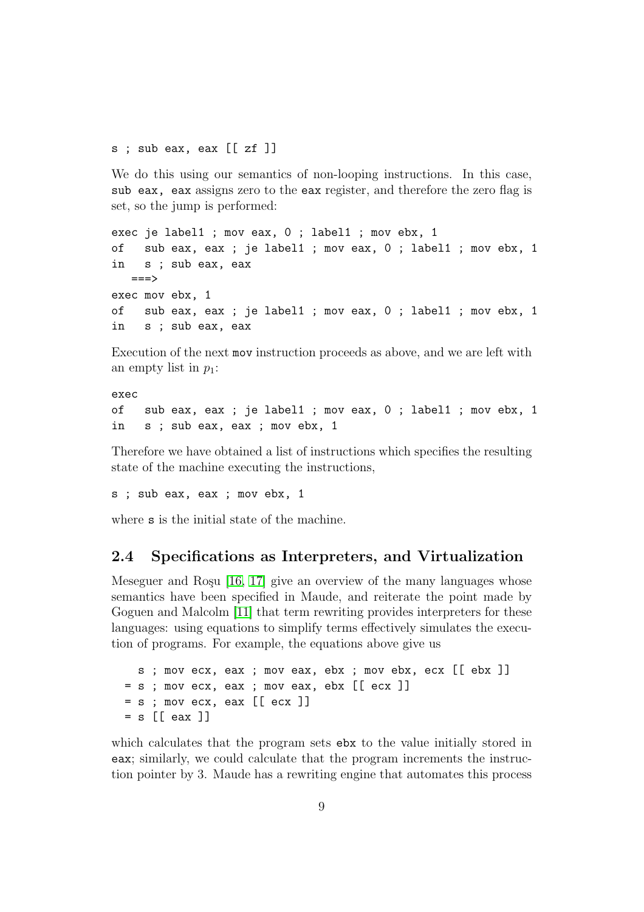s ; sub eax, eax [[ zf ]]

We do this using our semantics of non-looping instructions. In this case, sub eax, eax assigns zero to the eax register, and therefore the zero flag is set, so the jump is performed:

```
exec je label1 ; mov eax, 0 ; label1 ; mov ebx, 1
of sub eax, eax ; je label1 ; mov eax, 0 ; label1 ; mov ebx, 1
in s ; sub eax, eax
  ===>exec mov ebx, 1
of sub eax, eax ; je label1 ; mov eax, 0 ; label1 ; mov ebx, 1
in s ; sub eax, eax
```
Execution of the next mov instruction proceeds as above, and we are left with an empty list in  $p_1$ :

exec of sub eax, eax ; je label1 ; mov eax, 0 ; label1 ; mov ebx, 1 in s ; sub eax, eax ; mov ebx, 1

Therefore we have obtained a list of instructions which specifies the resulting state of the machine executing the instructions,

s ; sub eax, eax ; mov ebx, 1

where **s** is the initial state of the machine.

### 2.4 Specifications as Interpreters, and Virtualization

Meseguer and Roşu  $[16, 17]$  $[16, 17]$  give an overview of the many languages whose semantics have been specified in Maude, and reiterate the point made by Goguen and Malcolm [\[11\]](#page-32-7) that term rewriting provides interpreters for these languages: using equations to simplify terms effectively simulates the execution of programs. For example, the equations above give us

```
s ; mov ecx, eax ; mov eax, ebx ; mov ebx, ecx [[ ebx ]]
= s ; mov ecx, eax ; mov eax, ebx [[ ecx ]]
= s; mov ecx, eax [[ecx]]= s [[ eax ]]
```
which calculates that the program sets ebx to the value initially stored in eax; similarly, we could calculate that the program increments the instruction pointer by 3. Maude has a rewriting engine that automates this process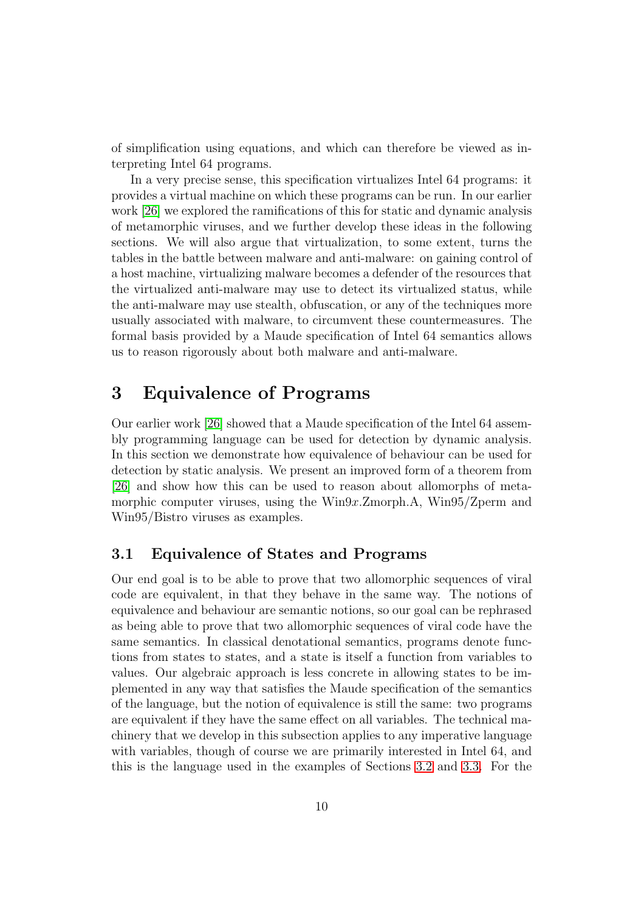of simplification using equations, and which can therefore be viewed as interpreting Intel 64 programs.

In a very precise sense, this specification virtualizes Intel 64 programs: it provides a virtual machine on which these programs can be run. In our earlier work [\[26\]](#page-33-7) we explored the ramifications of this for static and dynamic analysis of metamorphic viruses, and we further develop these ideas in the following sections. We will also argue that virtualization, to some extent, turns the tables in the battle between malware and anti-malware: on gaining control of a host machine, virtualizing malware becomes a defender of the resources that the virtualized anti-malware may use to detect its virtualized status, while the anti-malware may use stealth, obfuscation, or any of the techniques more usually associated with malware, to circumvent these countermeasures. The formal basis provided by a Maude specification of Intel 64 semantics allows us to reason rigorously about both malware and anti-malware.

# <span id="page-9-0"></span>3 Equivalence of Programs

Our earlier work [\[26\]](#page-33-7) showed that a Maude specification of the Intel 64 assembly programming language can be used for detection by dynamic analysis. In this section we demonstrate how equivalence of behaviour can be used for detection by static analysis. We present an improved form of a theorem from [\[26\]](#page-33-7) and show how this can be used to reason about allomorphs of metamorphic computer viruses, using the Win9x.Zmorph.A, Win95/Zperm and Win95/Bistro viruses as examples.

### 3.1 Equivalence of States and Programs

Our end goal is to be able to prove that two allomorphic sequences of viral code are equivalent, in that they behave in the same way. The notions of equivalence and behaviour are semantic notions, so our goal can be rephrased as being able to prove that two allomorphic sequences of viral code have the same semantics. In classical denotational semantics, programs denote functions from states to states, and a state is itself a function from variables to values. Our algebraic approach is less concrete in allowing states to be implemented in any way that satisfies the Maude specification of the semantics of the language, but the notion of equivalence is still the same: two programs are equivalent if they have the same effect on all variables. The technical machinery that we develop in this subsection applies to any imperative language with variables, though of course we are primarily interested in Intel 64, and this is the language used in the examples of Sections [3.2](#page-15-0) and [3.3.](#page-17-0) For the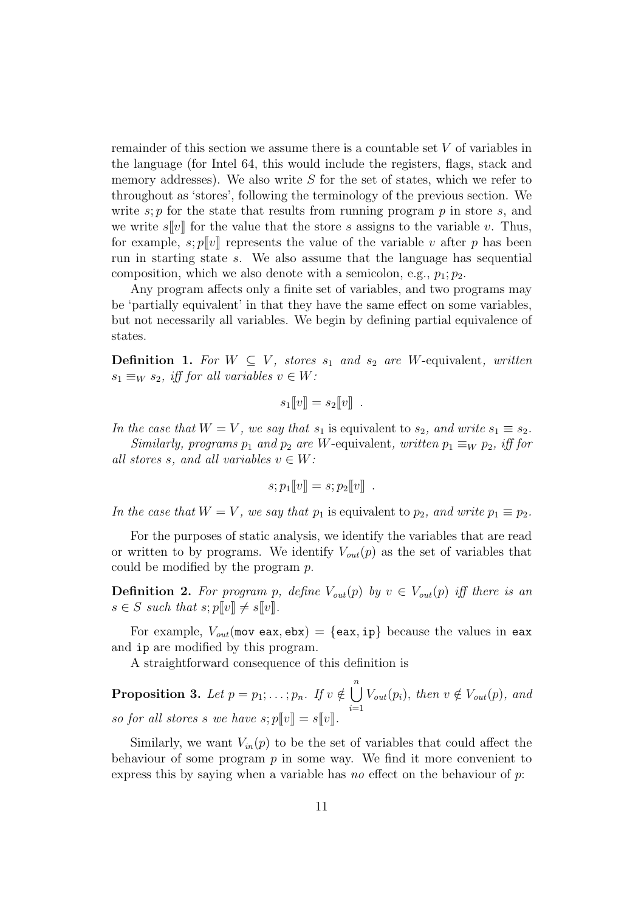remainder of this section we assume there is a countable set V of variables in the language (for Intel 64, this would include the registers, flags, stack and memory addresses). We also write  $S$  for the set of states, which we refer to throughout as 'stores', following the terminology of the previous section. We write  $s; p$  for the state that results from running program  $p$  in store  $s$ , and we write  $s[[v]]$  for the value that the store s assigns to the variable v. Thus, for example,  $s$ ;  $p||v||$  represents the value of the variable v after p has been run in starting state s. We also assume that the language has sequential composition, which we also denote with a semicolon, e.g.,  $p_1$ ;  $p_2$ .

Any program affects only a finite set of variables, and two programs may be 'partially equivalent' in that they have the same effect on some variables, but not necessarily all variables. We begin by defining partial equivalence of states.

**Definition 1.** For  $W \subseteq V$ , stores  $s_1$  and  $s_2$  are W-equivalent, written  $s_1 \equiv_W s_2$ , iff for all variables  $v \in W$ :

$$
s_1[\![v]\!]=s_2[\![v]\!].
$$

In the case that  $W = V$ , we say that  $s_1$  is equivalent to  $s_2$ , and write  $s_1 \equiv s_2$ . Similarly, programs  $p_1$  and  $p_2$  are W-equivalent, written  $p_1 \equiv_W p_2$ , iff for

all stores s, and all variables  $v \in W$ :

$$
s; p_1[\![v]\!]=s; p_2[\![v]\!].
$$

In the case that  $W = V$ , we say that  $p_1$  is equivalent to  $p_2$ , and write  $p_1 \equiv p_2$ .

For the purposes of static analysis, we identify the variables that are read or written to by programs. We identify  $V_{out}(p)$  as the set of variables that could be modified by the program p.

<span id="page-10-1"></span>**Definition 2.** For program p, define  $V_{out}(p)$  by  $v \in V_{out}(p)$  iff there is an  $s \in S$  such that  $s; p\llbracket v \rrbracket \neq s\llbracket v \rrbracket$ .

For example,  $V_{out}$ (nov eax, ebx) = {eax, ip} because the values in eax and ip are modified by this program.

<span id="page-10-2"></span>A straightforward consequence of this definition is

Proposition 3. Let  $p = p_1; \ldots; p_n$ . If  $v \notin \bigcup^n$  $i=1$  $V_{out}(p_i)$ , then  $v \notin V_{out}(p)$ , and so for all stores s we have  $s; p[\![v]\!] = s[\![v]\!]$ .

<span id="page-10-0"></span>Similarly, we want  $V_{in}(p)$  to be the set of variables that could affect the behaviour of some program  $p$  in some way. We find it more convenient to express this by saying when a variable has no effect on the behaviour of  $p$ :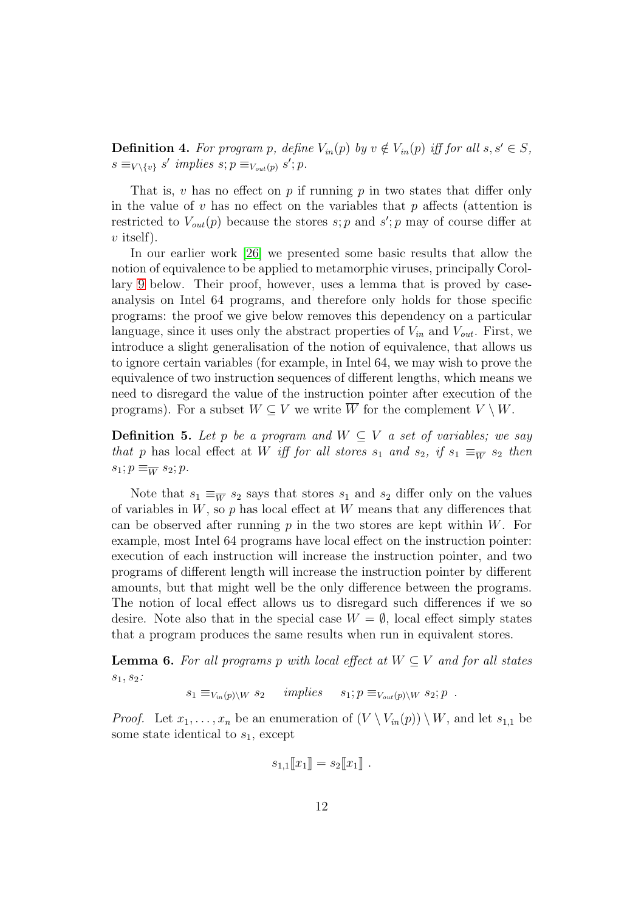**Definition 4.** For program p, define  $V_{in}(p)$  by  $v \notin V_{in}(p)$  iff for all  $s, s' \in S$ ,  $s \equiv_{V \setminus \{v\}} s'$  implies  $s; p \equiv_{V_{out}(p)} s'; p$ .

That is, v has no effect on  $p$  if running  $p$  in two states that differ only in the value of  $v$  has no effect on the variables that  $p$  affects (attention is restricted to  $V_{out}(p)$  because the stores  $s$ ; p and  $s'$ ; p may of course differ at  $v$  itself).

In our earlier work [\[26\]](#page-33-7) we presented some basic results that allow the notion of equivalence to be applied to metamorphic viruses, principally Corollary [9](#page-12-0) below. Their proof, however, uses a lemma that is proved by caseanalysis on Intel 64 programs, and therefore only holds for those specific programs: the proof we give below removes this dependency on a particular language, since it uses only the abstract properties of  $V_{in}$  and  $V_{out}$ . First, we introduce a slight generalisation of the notion of equivalence, that allows us to ignore certain variables (for example, in Intel 64, we may wish to prove the equivalence of two instruction sequences of different lengths, which means we need to disregard the value of the instruction pointer after execution of the programs). For a subset  $W \subseteq V$  we write  $\overline{W}$  for the complement  $V \setminus W$ .

**Definition 5.** Let p be a program and  $W \subseteq V$  a set of variables; we say that p has local effect at W iff for all stores  $s_1$  and  $s_2$ , if  $s_1 \equiv_{\overline{W}} s_2$  then  $s_1; p \equiv_{\overline{W}} s_2; p.$ 

Note that  $s_1 \equiv_{\overline{W}} s_2$  says that stores  $s_1$  and  $s_2$  differ only on the values of variables in  $W$ , so p has local effect at  $W$  means that any differences that can be observed after running  $p$  in the two stores are kept within  $W$ . For example, most Intel 64 programs have local effect on the instruction pointer: execution of each instruction will increase the instruction pointer, and two programs of different length will increase the instruction pointer by different amounts, but that might well be the only difference between the programs. The notion of local effect allows us to disregard such differences if we so desire. Note also that in the special case  $W = \emptyset$ , local effect simply states that a program produces the same results when run in equivalent stores.

<span id="page-11-0"></span>**Lemma 6.** For all programs p with local effect at  $W \subset V$  and for all states  $s_1, s_2:$ 

$$
s_1 \equiv_{V_{in}(p)\setminus W} s_2 \quad implies \quad s_1; p \equiv_{V_{out}(p)\setminus W} s_2; p .
$$

*Proof.* Let  $x_1, \ldots, x_n$  be an enumeration of  $(V \setminus V_{in}(p)) \setminus W$ , and let  $s_{1,1}$  be some state identical to  $s_1$ , except

$$
s_{1,1}\llbracket x_1 \rrbracket = s_2\llbracket x_1 \rrbracket.
$$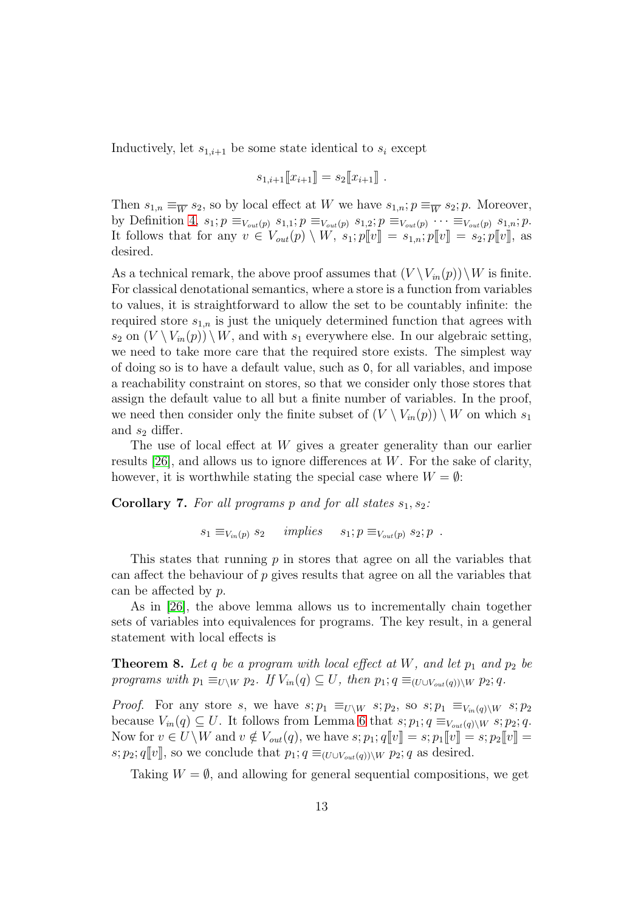Inductively, let  $s_{1,i+1}$  be some state identical to  $s_i$  except

$$
s_{1,i+1}[[x_{i+1}]] = s_2[[x_{i+1}]] .
$$

Then  $s_{1,n} \equiv_{\overline{W}} s_2$ , so by local effect at W we have  $s_{1,n}$ ;  $p \equiv_{\overline{W}} s_2$ ;  $p$ . Moreover, by Definition [4,](#page-10-0)  $s_1$ ;  $p \equiv_{V_{out}(p)} s_{1,1}$ ;  $p \equiv_{V_{out}(p)} s_{1,2}$ ;  $p \equiv_{V_{out}(p)} \cdots \equiv_{V_{out}(p)} s_{1,n}$ ;  $p$ . It follows that for any  $v \in V_{out}(p) \setminus W$ ,  $s_1; p[]v] = s_1, s; p[]v] = s_2; p[]v]$ , as desired.

As a technical remark, the above proof assumes that  $(V \setminus V_{in}(p)) \setminus W$  is finite. For classical denotational semantics, where a store is a function from variables to values, it is straightforward to allow the set to be countably infinite: the required store  $s_{1,n}$  is just the uniquely determined function that agrees with  $s_2$  on  $(V \setminus V_{in}(p)) \setminus W$ , and with  $s_1$  everywhere else. In our algebraic setting, we need to take more care that the required store exists. The simplest way of doing so is to have a default value, such as 0, for all variables, and impose a reachability constraint on stores, so that we consider only those stores that assign the default value to all but a finite number of variables. In the proof, we need then consider only the finite subset of  $(V \setminus V_{in}(p)) \setminus W$  on which  $s_1$ and  $s_2$  differ.

The use of local effect at W gives a greater generality than our earlier results  $[26]$ , and allows us to ignore differences at W. For the sake of clarity, however, it is worthwhile stating the special case where  $W = \emptyset$ :

**Corollary 7.** For all programs p and for all states  $s_1, s_2$ :

 $s_1 \equiv_{V_{in}(p)} s_2$  implies  $s_1; p \equiv_{V_{out}(p)} s_2; p$ .

This states that running  $p$  in stores that agree on all the variables that can affect the behaviour of  $p$  gives results that agree on all the variables that can be affected by p.

<span id="page-12-1"></span>As in [\[26\]](#page-33-7), the above lemma allows us to incrementally chain together sets of variables into equivalences for programs. The key result, in a general statement with local effects is

**Theorem 8.** Let q be a program with local effect at  $W$ , and let  $p_1$  and  $p_2$  be programs with  $p_1 \equiv_{U\setminus W} p_2$ . If  $V_{in}(q) \subseteq U$ , then  $p_1; q \equiv_{(U\cup V_{out}(q))\setminus W} p_2; q$ .

*Proof.* For any store s, we have  $s; p_1 \equiv_{U\setminus W} s; p_2$ , so  $s; p_1 \equiv_{V_{in}(q)\setminus W} s; p_2$ because  $V_{in}(q) \subseteq U$ . It follows from Lemma [6](#page-11-0) that  $s; p_1; q \equiv_{V_{out}(q)\setminus W} s; p_2; q$ . Now for  $v \in U \backslash W$  and  $v \notin V_{out}(q)$ , we have  $s; p_1; q[\![v]\!]=s; p_1[\![v]\!]=s; p_2[\![v]\!]=$ s;  $p_2$ ;  $q[[v]]$ , so we conclude that  $p_1$ ;  $q \equiv_{(U \cup V_{out}(q))\setminus W} p_2$ ; q as desired.

<span id="page-12-0"></span>Taking  $W = \emptyset$ , and allowing for general sequential compositions, we get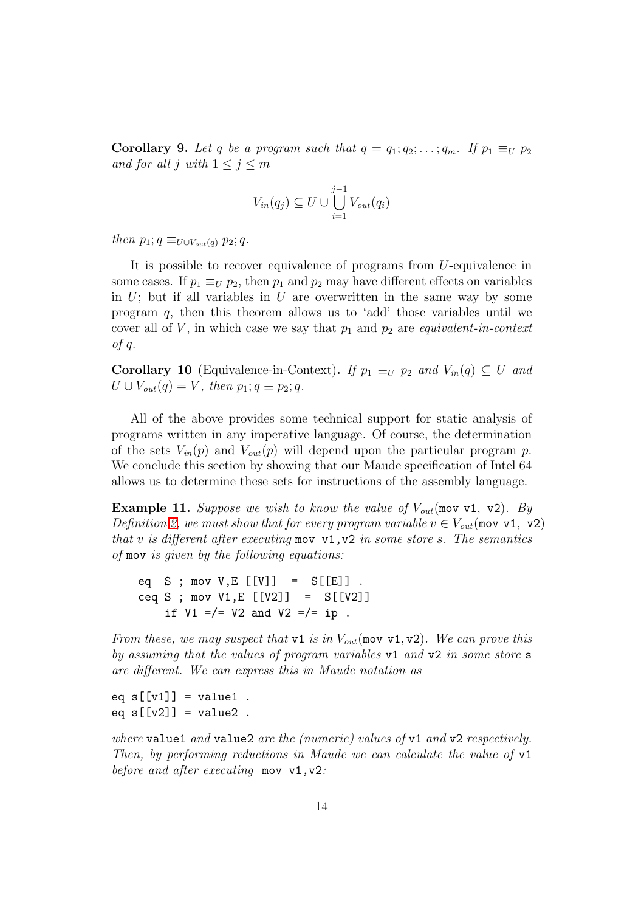**Corollary 9.** Let q be a program such that  $q = q_1; q_2; \ldots; q_m$ . If  $p_1 \equiv_U p_2$ and for all j with  $1 \leq j \leq m$ 

$$
V_{in}(q_j) \subseteq U \cup \bigcup_{i=1}^{j-1} V_{out}(q_i)
$$

then  $p_1$ ;  $q \equiv_{U\cup V_{out}(q)} p_2$ ;  $q$ .

It is possible to recover equivalence of programs from U-equivalence in some cases. If  $p_1 \equiv_U p_2$ , then  $p_1$  and  $p_2$  may have different effects on variables in  $\overline{U}$ ; but if all variables in  $\overline{U}$  are overwritten in the same way by some program q, then this theorem allows us to 'add' those variables until we cover all of V, in which case we say that  $p_1$  and  $p_2$  are *equivalent-in-context* of q.

<span id="page-13-0"></span>**Corollary 10** (Equivalence-in-Context). If  $p_1 \equiv_U p_2$  and  $V_{in}(q) \subseteq U$  and  $U \cup V_{out}(q) = V$ , then  $p_1; q \equiv p_2; q$ .

All of the above provides some technical support for static analysis of programs written in any imperative language. Of course, the determination of the sets  $V_{in}(p)$  and  $V_{out}(p)$  will depend upon the particular program p. We conclude this section by showing that our Maude specification of Intel 64 allows us to determine these sets for instructions of the assembly language.

<span id="page-13-1"></span>**Example 11.** Suppose we wish to know the value of  $V_{out}$  (mov v1, v2). By Definition [2,](#page-10-1) we must show that for every program variable  $v \in V_{out}(\text{mov v1, v2})$ that v is different after executing mov  $v1, v2$  in some store s. The semantics of mov is given by the following equations:

eq  $S$ ; mov  $V, E$  [[V]] =  $S[[E]]$ . ceq S ; mov V1, E  $[V2]$ ] =  $S[[V2]]$ if  $V1 = / = V2$  and  $V2 = / = ip$ .

From these, we may suspect that v1 is in  $V_{out}$ (mov v1, v2). We can prove this by assuming that the values of program variables v1 and v2 in some store s are different. We can express this in Maude notation as

eq  $s[[v1]] = v$ alue1. eq  $s[[v2]] = value2$ .

where value1 and value2 are the (numeric) values of  $v1$  and  $v2$  respectively. Then, by performing reductions in Maude we can calculate the value of v1 before and after executing mov v1, v2: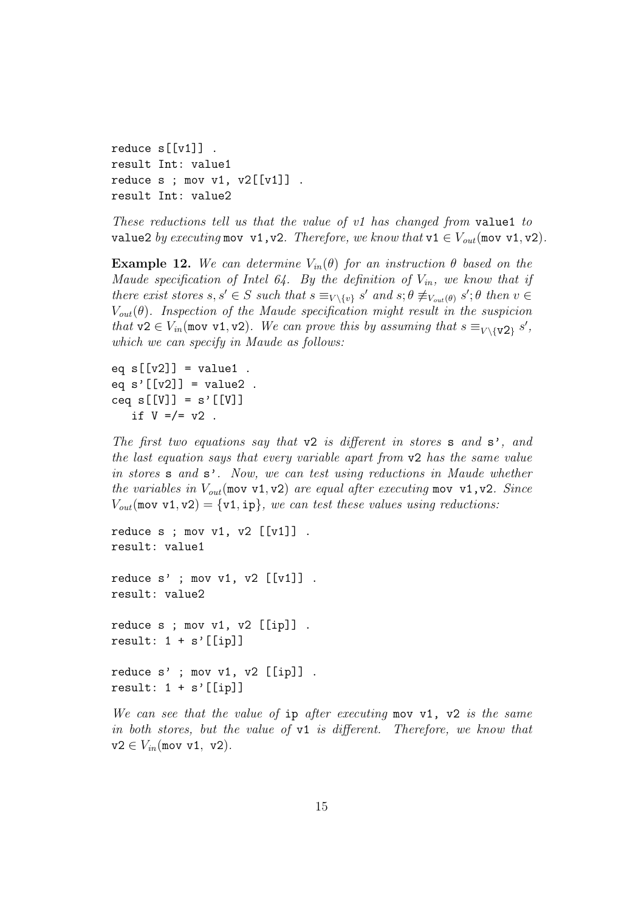```
reduce s[[v1]] .
result Int: value1
reduce s; mov v1, v2[[v1]].
result Int: value2
```
These reductions tell us that the value of v1 has changed from value1 to value2 by executing mov v1, v2. Therefore, we know that  $v1 \in V_{out}$  (mov v1, v2).

**Example 12.** We can determine  $V_{in}(\theta)$  for an instruction  $\theta$  based on the Maude specification of Intel 64. By the definition of  $V_{in}$ , we know that if there exist stores  $s, s' \in S$  such that  $s \equiv_{V \setminus \{v\}} s'$  and  $s; \theta \not\equiv_{V_{out}(\theta)} s'; \theta$  then  $v \in S$  $V_{out}(\theta)$ . Inspection of the Maude specification might result in the suspicion that  $v2 \in V_{in}$  (mov v1, v2). We can prove this by assuming that  $s \equiv_{V \setminus \{v2\}} s'$ , which we can specify in Maude as follows:

```
eq s[[v2]] = value1.
eq s'[[v2]] = value2.
ceq s[[V]] = s'[V]]if V = / = v2.
```
The first two equations say that  $v2$  is different in stores **s** and **s**', and the last equation says that every variable apart from v2 has the same value in stores s and s'. Now, we can test using reductions in Maude whether the variables in  $V_{out}$ (mov v1, v2) are equal after executing mov v1, v2. Since  $V_{out}$ (mov v1, v2) = {v1, ip}, we can test these values using reductions:

```
reduce s; mov v1, v2 [[v1]].
result: value1
reduce s'; mov v1, v2 [[v1]].
result: value2
reduce s ; mov v1, v2 [[ip]] .
result: 1 + s'[[ip]]
reduce s' ; mov v1, v2 [[ip]] .
result: 1 + s'[[ip]]
```
We can see that the value of  $ip$  after executing mov v1, v2 is the same in both stores, but the value of v1 is different. Therefore, we know that  $v2 \in V_{in}$ (mov v1, v2).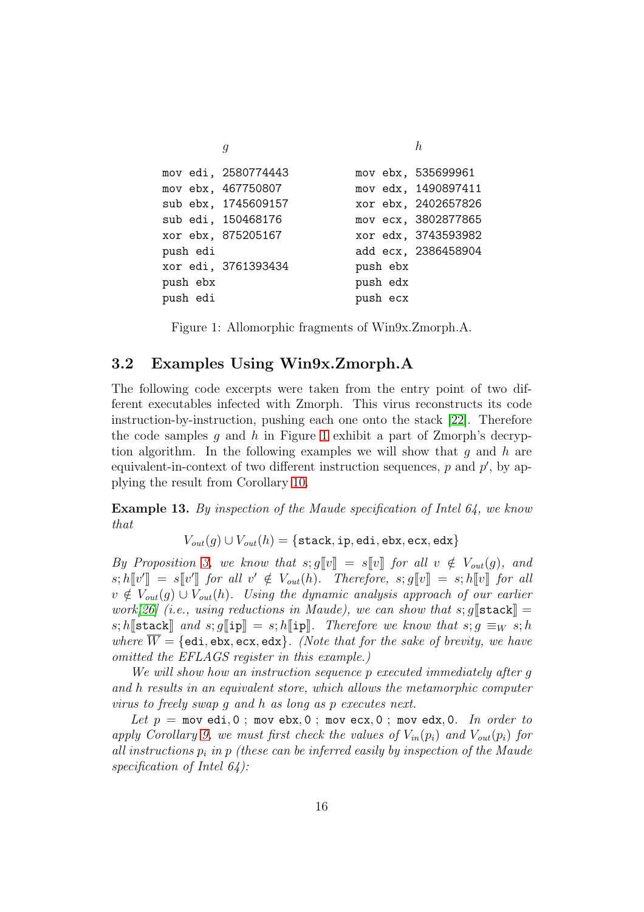$g \hspace{2.0cm} h$ mov edi, 2580774443 mov ebx, 535699961 mov ebx, 467750807 mov edx, 1490897411 sub ebx, 1745609157 xor ebx, 2402657826 sub edi, 150468176 mov ecx, 3802877865 xor ebx, 875205167 xor edx, 3743593982 push edi add ecx, 2386458904 xor edi, 3761393434 push ebx push ebx push edx push edi push ecx

<span id="page-15-1"></span>Figure 1: Allomorphic fragments of Win9x.Zmorph.A.

### <span id="page-15-0"></span>3.2 Examples Using Win9x.Zmorph.A

The following code excerpts were taken from the entry point of two different executables infected with Zmorph. This virus reconstructs its code instruction-by-instruction, pushing each one onto the stack [\[22\]](#page-33-10). Therefore the code samples  $g$  and  $h$  in Figure [1](#page-15-1) exhibit a part of Zmorph's decryption algorithm. In the following examples we will show that q and h are equivalent-in-context of two different instruction sequences,  $p$  and  $p'$ , by applying the result from Corollary [10.](#page-13-0)

<span id="page-15-2"></span>Example 13. By inspection of the Maude specification of Intel 64, we know that

 $V_{out}(q) \cup V_{out}(h) = \{ \text{stack}, \text{ip}, \text{edi}, \text{ebx}, \text{ecx}, \text{edx} \}$ 

By Proposition [3,](#page-10-2) we know that  $s; g[[v]] = s[[v]]$  for all  $v \notin V_{out}(g)$ , and  $s; h[\![v']\!] = s[\![v']\!]$  for all  $v' \notin V_{out}(h)$ . Therefore,  $s; g[\![v]\!] = s; h[\![v]\!]$  for all  $v \notin V_{out}(g) \cup V_{out}(h)$ . Using the dynamic analysis approach of our earlier work[\[26\]](#page-33-7) (i.e., using reductions in Maude), we can show that  $s$ ;  $q$ [stack]] = s; h[stack] and s; g[ip] = s; h[ip]. Therefore we know that s;  $g \equiv_W s; h$ where  $\overline{W} = \{edi, ebx, ecx, edx\}$ . (Note that for the sake of brevity, we have omitted the EFLAGS register in this example.)

We will show how an instruction sequence p executed immediately after q and h results in an equivalent store, which allows the metamorphic computer virus to freely swap g and h as long as p executes next.

Let  $p = \text{mov}$  edi, 0; mov ebx, 0; mov ecx, 0; mov edx, 0. In order to apply Corollary [9,](#page-12-0) we must first check the values of  $V_{in}(p_i)$  and  $V_{out}(p_i)$  for all instructions  $p_i$  in p (these can be inferred easily by inspection of the Maude specification of Intel 64):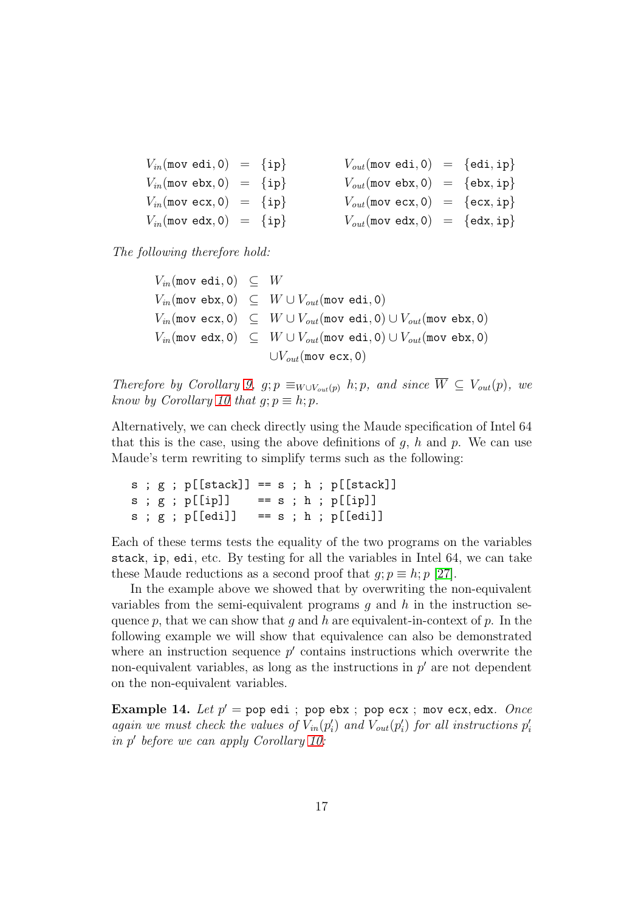| $V_{in}$ (mov edi, 0) = {ip}                          |  |  | $V_{out}(\text{mov edi}, 0) = \{\text{edi}, \text{ip}\}\$         |
|-------------------------------------------------------|--|--|-------------------------------------------------------------------|
| $V_{in}$ (mov ebx, 0) = {ip}                          |  |  | $V_{out}(\text{mov } \text{ebx}, 0) = \{\text{ebx}, \text{ip}\}\$ |
| $V_{in}$ (mov ecx, 0) = {ip}                          |  |  | $V_{out}(\text{mov} \text{ exc}, 0) = \{\text{ecx}, \text{ip}\}\$ |
| $V_{in}(\text{mov} \text{ edx}, 0) = \{\texttt{ip}\}$ |  |  | $V_{out}(\text{mov} \text{ edx}, 0) = \{\text{edx}, \text{ip}\}\$ |

The following therefore hold:

 $V_{in}$ (mov edi, 0)  $\subseteq$   $W$  $V_{in}$ (mov ebx, 0)  $\subseteq W \cup V_{out}$ (mov edi, 0)  $V_{in}(\text{mov ex}, 0) \subseteq W \cup V_{out}(\text{mov edi}, 0) \cup V_{out}(\text{mov ebx}, 0)$  $V_{in}(\text{mov edx}, 0) \subseteq W \cup V_{out}(\text{mov edi}, 0) \cup V_{out}(\text{mov ebx}, 0)$  $\bigcup V_{out}(\text{mov}~\text{ecx}, 0)$ 

Therefore by Corollary [9,](#page-12-0)  $g; p \equiv_{W\cup V_{out}(p)} h; p$ , and since  $\overline{W} \subseteq V_{out}(p)$ , we know by Corollary [10](#page-13-0) that  $q; p \equiv h; p$ .

Alternatively, we can check directly using the Maude specification of Intel 64 that this is the case, using the above definitions of  $g$ ,  $h$  and  $p$ . We can use Maude's term rewriting to simplify terms such as the following:

```
s; g; p[[stack]] == s; h; p[[stack]]s; g; p[[ip]] == s; h; p[[ip]]s; g; p[[edi]] == s; h; p[[edi]]
```
Each of these terms tests the equality of the two programs on the variables stack, ip, edi, etc. By testing for all the variables in Intel 64, we can take these Maude reductions as a second proof that  $q; p \equiv h; p$  [\[27\]](#page-33-11).

In the example above we showed that by overwriting the non-equivalent variables from the semi-equivalent programs q and h in the instruction sequence p, that we can show that g and h are equivalent-in-context of p. In the following example we will show that equivalence can also be demonstrated where an instruction sequence  $p'$  contains instructions which overwrite the non-equivalent variables, as long as the instructions in  $p'$  are not dependent on the non-equivalent variables.

<span id="page-16-0"></span>**Example 14.** Let  $p' =$  pop edi ; pop ebx ; pop ecx ; mov ecx,edx. Once again we must check the values of  $V_{in}(p'_i)$  and  $V_{out}(p'_i)$  for all instructions  $p'_i$ in p ′ before we can apply Corollary [10:](#page-13-0)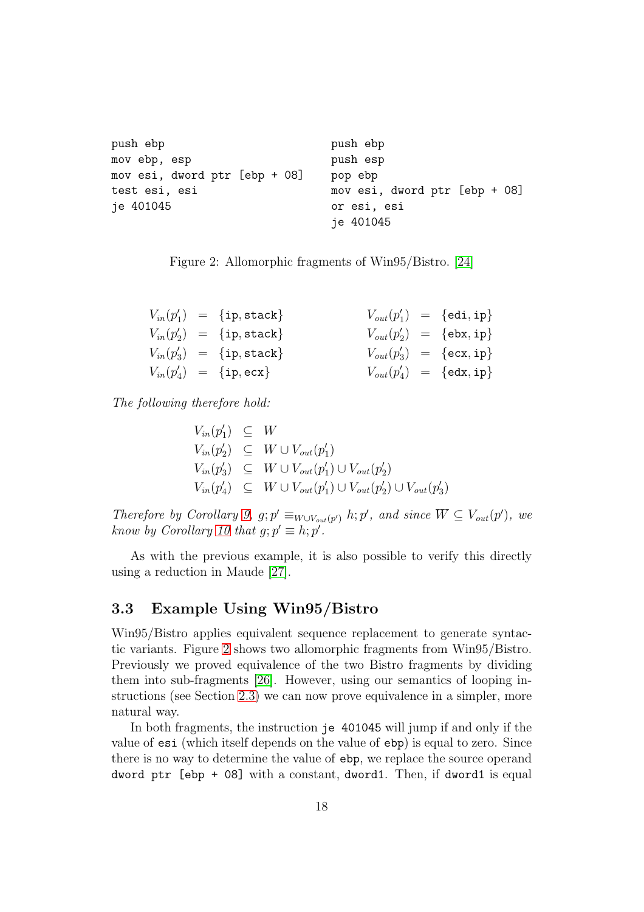```
push ebp push ebp
mov ebp, esp bush esp
mov esi, dword ptr [ebp + 08] pop ebp
test esi, esi mov esi, dword ptr [ebp + 08]
je 401045 or esi, esi
                     je 401045
```
<span id="page-17-1"></span>

|  |  | Figure 2: Allomorphic fragments of $Win95/Bistro. [24]$ |  |  |  |  |
|--|--|---------------------------------------------------------|--|--|--|--|
|--|--|---------------------------------------------------------|--|--|--|--|

|  | $V_{in}(p'_1) = \{ip, stack\}$ |  | $V_{out}(p'_1) = \{edi, ip\}$                    |
|--|--------------------------------|--|--------------------------------------------------|
|  | $V_{in}(p'_2) = \{ip, stack\}$ |  | $V_{out}(p'_2) = \{\text{ebx}, \text{ip}\}\$     |
|  | $V_{in}(p'_3) = \{ip, stack\}$ |  | $V_{out}(p'_3) = \{\texttt{ecx}, \texttt{ip}\}\$ |
|  | $V_{in}(p'_4) = \{ip, ecx\}$   |  | $V_{out}(p'_4) = \{edx, ip\}$                    |

The following therefore hold:

$$
V_{in}(p'_1) \subseteq W
$$
  
\n
$$
V_{in}(p'_2) \subseteq W \cup V_{out}(p'_1)
$$
  
\n
$$
V_{in}(p'_3) \subseteq W \cup V_{out}(p'_1) \cup V_{out}(p'_2)
$$
  
\n
$$
V_{in}(p'_4) \subseteq W \cup V_{out}(p'_1) \cup V_{out}(p'_2) \cup V_{out}(p'_3)
$$

Therefore by Corollary [9,](#page-12-0) g;  $p' \equiv_{W \cup V_{out}(p')} h; p'$ , and since  $\overline{W} \subseteq V_{out}(p')$ , we know by Corollary [10](#page-13-0) that  $g; p' \equiv h; p'$ .

As with the previous example, it is also possible to verify this directly using a reduction in Maude [\[27\]](#page-33-11).

### <span id="page-17-0"></span>3.3 Example Using Win95/Bistro

Win95/Bistro applies equivalent sequence replacement to generate syntactic variants. Figure [2](#page-17-1) shows two allomorphic fragments from Win95/Bistro. Previously we proved equivalence of the two Bistro fragments by dividing them into sub-fragments [\[26\]](#page-33-7). However, using our semantics of looping instructions (see Section [2.3\)](#page-5-0) we can now prove equivalence in a simpler, more natural way.

In both fragments, the instruction je 401045 will jump if and only if the value of esi (which itself depends on the value of ebp) is equal to zero. Since there is no way to determine the value of ebp, we replace the source operand dword ptr [ebp + 08] with a constant, dword1. Then, if dword1 is equal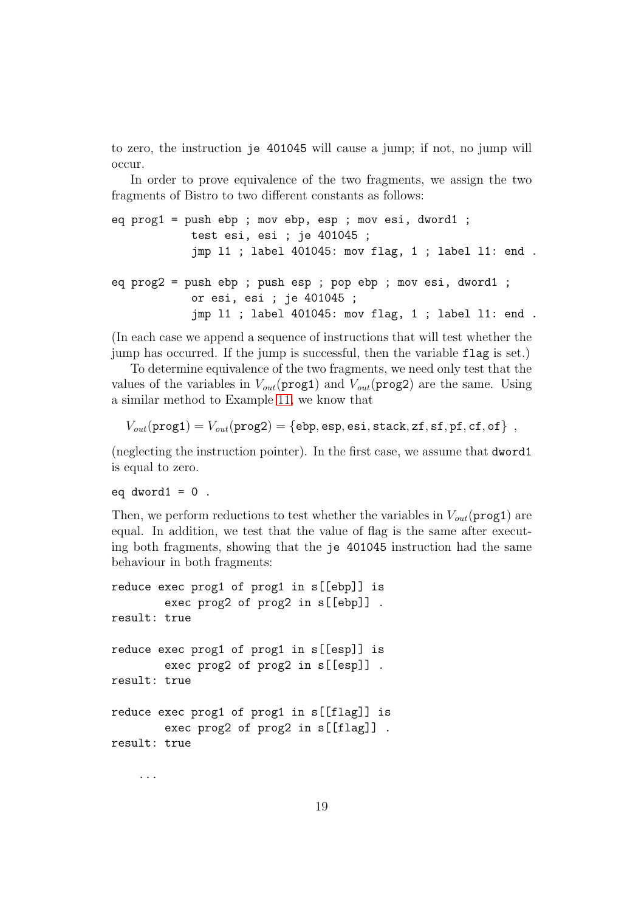to zero, the instruction je 401045 will cause a jump; if not, no jump will occur.

In order to prove equivalence of the two fragments, we assign the two fragments of Bistro to two different constants as follows:

```
eq prog1 = push ebp ; mov ebp, esp ; mov esi, dword1 ;
            test esi, esi ; je 401045 ;
            jmp l1 ; label 401045: mov flag, 1 ; label l1: end .
eq prog2 = push ebp ; push esp ; pop ebp ; mov esi, dword1 ;
            or esi, esi ; je 401045 ;
            jmp l1 ; label 401045: mov flag, 1 ; label l1: end .
```
(In each case we append a sequence of instructions that will test whether the jump has occurred. If the jump is successful, then the variable flag is set.)

To determine equivalence of the two fragments, we need only test that the values of the variables in  $V_{out}(\text{prog1})$  and  $V_{out}(\text{prog2})$  are the same. Using a similar method to Example [11,](#page-13-1) we know that

 $V_{out}(\text{prog1}) = V_{out}(\text{prog2}) = \{\text{ebp}, \text{esp}, \text{esi}, \text{stack}, \text{zf}, \text{sf}, \text{pf}, \text{cf}, \text{of}\}\$ 

(neglecting the instruction pointer). In the first case, we assume that dword1 is equal to zero.

eq  $dword1 = 0$ .

Then, we perform reductions to test whether the variables in  $V_{out}(\text{prog1})$  are equal. In addition, we test that the value of flag is the same after executing both fragments, showing that the je 401045 instruction had the same behaviour in both fragments:

```
reduce exec prog1 of prog1 in s[[ebp]] is
        exec prog2 of prog2 in s[[ebp]] .
result: true
reduce exec prog1 of prog1 in s[[esp]] is
        exec prog2 of prog2 in s[[esp]] .
result: true
reduce exec prog1 of prog1 in s[[flag]] is
        exec prog2 of prog2 in s[[flag]] .
result: true
```
...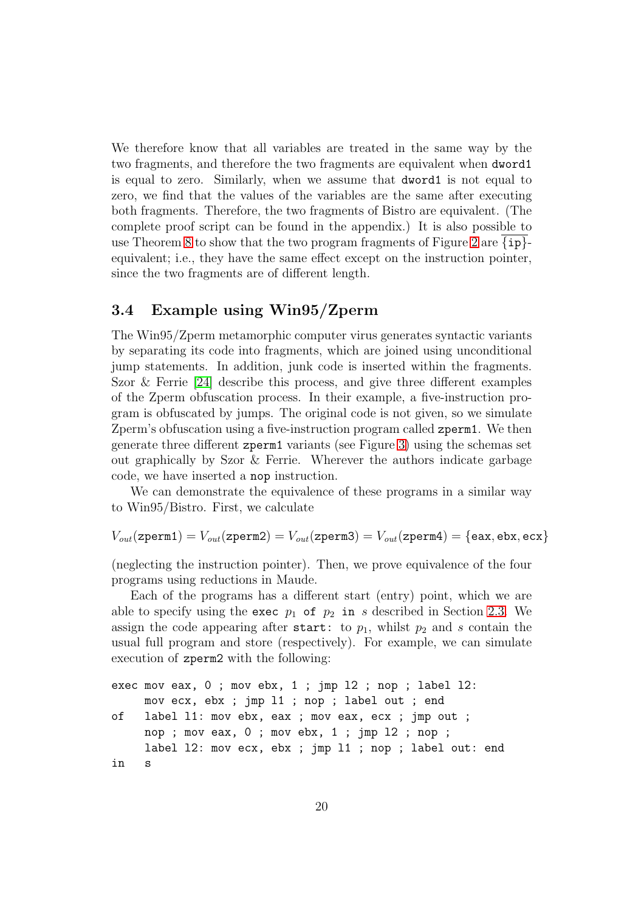We therefore know that all variables are treated in the same way by the two fragments, and therefore the two fragments are equivalent when dword1 is equal to zero. Similarly, when we assume that dword1 is not equal to zero, we find that the values of the variables are the same after executing both fragments. Therefore, the two fragments of Bistro are equivalent. (The complete proof script can be found in the appendix.) It is also possible to use Theorem [8](#page-12-1) to show that the two program fragments of Figure [2](#page-17-1) are  $\{ip\}$ equivalent; i.e., they have the same effect except on the instruction pointer, since the two fragments are of different length.

### <span id="page-19-0"></span>3.4 Example using Win95/Zperm

The Win95/Zperm metamorphic computer virus generates syntactic variants by separating its code into fragments, which are joined using unconditional jump statements. In addition, junk code is inserted within the fragments. Szor  $\&$  Ferrie [\[24\]](#page-33-5) describe this process, and give three different examples of the Zperm obfuscation process. In their example, a five-instruction program is obfuscated by jumps. The original code is not given, so we simulate Zperm's obfuscation using a five-instruction program called zperm1. We then generate three different zperm1 variants (see Figure [3\)](#page-20-0) using the schemas set out graphically by Szor & Ferrie. Wherever the authors indicate garbage code, we have inserted a nop instruction.

We can demonstrate the equivalence of these programs in a similar way to Win95/Bistro. First, we calculate

 $V_{out}(\texttt{zperm1}) = V_{out}(\texttt{zperm2}) = V_{out}(\texttt{zperm3}) = V_{out}(\texttt{zperm4}) = \{\texttt{eax}, \texttt{ebx}, \texttt{ecx}\}$ 

(neglecting the instruction pointer). Then, we prove equivalence of the four programs using reductions in Maude.

Each of the programs has a different start (entry) point, which we are able to specify using the exec  $p_1$  of  $p_2$  in s described in Section [2.3.](#page-5-0) We assign the code appearing after start: to  $p_1$ , whilst  $p_2$  and s contain the usual full program and store (respectively). For example, we can simulate execution of zperm2 with the following:

```
exec mov eax, 0 ; mov ebx, 1 ; jmp l2 ; nop ; label l2:
    mov ecx, ebx ; jmp l1 ; nop ; label out ; end
of label l1: mov ebx, eax ; mov eax, ecx ; jmp out ;
    nop ; mov eax, 0 ; mov ebx, 1 ; jmp l2 ; nop ;
     label l2: mov ecx, ebx ; jmp l1 ; nop ; label out: end
in s
```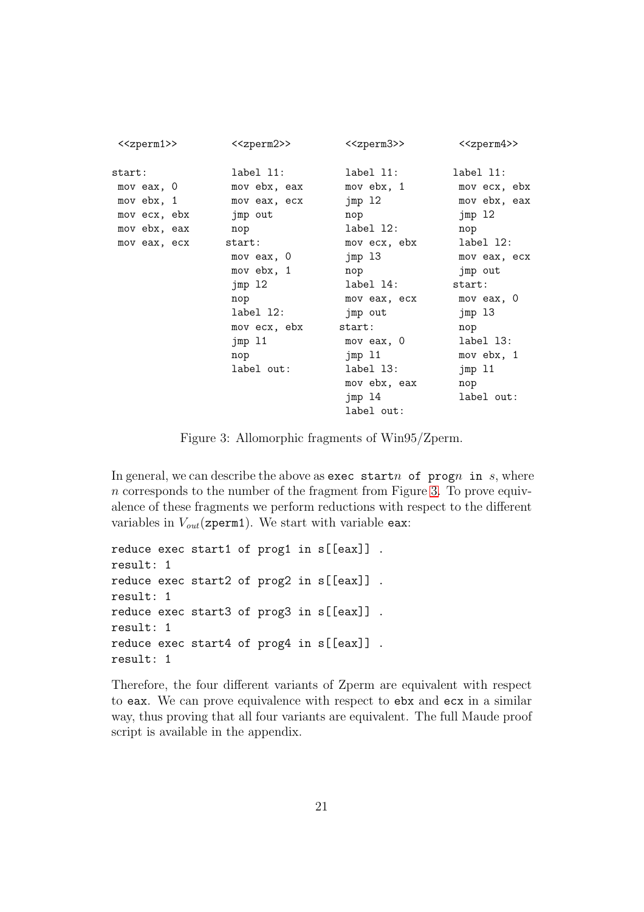| < <zperm1>&gt;</zperm1> | < <zperm2>&gt;</zperm2> | < <zperm3>&gt;</zperm3> | < <zperm4>&gt;</zperm4> |
|-------------------------|-------------------------|-------------------------|-------------------------|
| start:                  | label 11:               | label 11:               | label 11:               |
| mov eax, 0              | mov ebx, eax            | mov ebx, 1              | mov ecx, ebx            |
| mov ebx, 1              | mov eax, ecx            | jmp 12                  | mov ebx, eax            |
| mov ecx, ebx            | jmp out                 | nop                     | jmp 12                  |
| mov ebx, eax            | nop                     | label 12:               | nop                     |
| mov eax, ecx            | start:                  | mov ecx, ebx            | label 12:               |
|                         | mov eax, 0              | jmp 13                  | mov eax, ecx            |
|                         | mov ebx, 1              | nop                     | jmp out                 |
|                         | jmp 12                  | label 14:               | start:                  |
|                         | nop                     | mov eax, ecx            | mov eax, 0              |
|                         | label 12:               | jmp out                 | jmp 13                  |
|                         | mov ecx, ebx            | start:                  | nop                     |
|                         | jmp 11                  | mov eax, 0              | label 13:               |
|                         | nop                     | jmp 11                  | mov ebx, 1              |
|                         | label out:              | label 13:               | jmp 11                  |
|                         |                         | mov ebx, eax            | nop                     |
|                         |                         | jmp 14                  | label out:              |
|                         |                         | label out:              |                         |

<span id="page-20-0"></span>Figure 3: Allomorphic fragments of Win95/Zperm.

In general, we can describe the above as exec startn of progn in s, where n corresponds to the number of the fragment from Figure [3.](#page-20-0) To prove equivalence of these fragments we perform reductions with respect to the different variables in  $V_{out}$ (zperm1). We start with variable eax:

```
reduce exec start1 of prog1 in s[[eax]] .
result: 1
reduce exec start2 of prog2 in s[[eax]] .
result: 1
reduce exec start3 of prog3 in s[[eax]] .
result: 1
reduce exec start4 of prog4 in s[[eax]] .
result: 1
```
Therefore, the four different variants of Zperm are equivalent with respect to eax. We can prove equivalence with respect to ebx and ecx in a similar way, thus proving that all four variants are equivalent. The full Maude proof script is available in the appendix.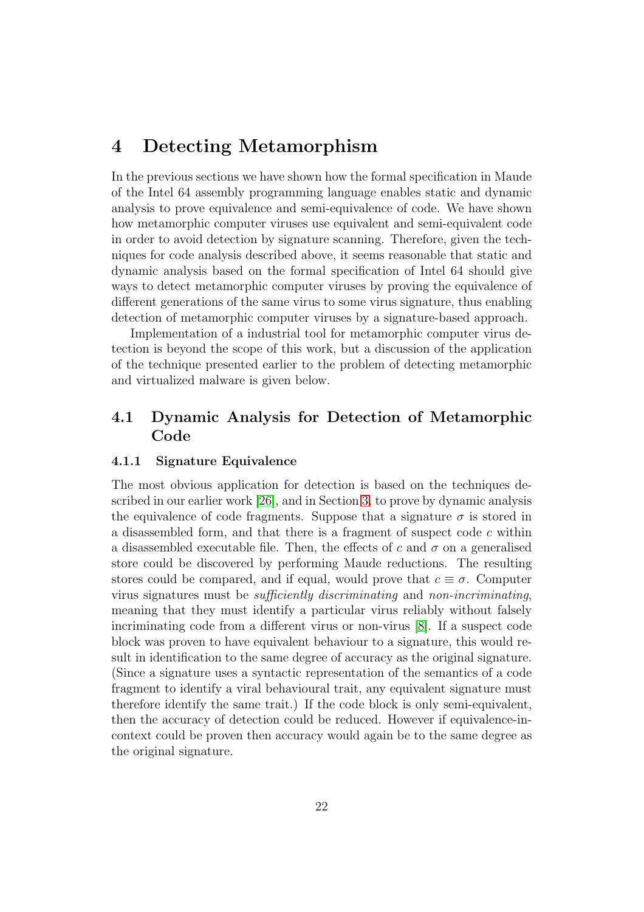## <span id="page-21-0"></span>4 Detecting Metamorphism

In the previous sections we have shown how the formal specification in Maude of the Intel 64 assembly programming language enables static and dynamic analysis to prove equivalence and semi-equivalence of code. We have shown how metamorphic computer viruses use equivalent and semi-equivalent code in order to avoid detection by signature scanning. Therefore, given the techniques for code analysis described above, it seems reasonable that static and dynamic analysis based on the formal specification of Intel 64 should give ways to detect metamorphic computer viruses by proving the equivalence of different generations of the same virus to some virus signature, thus enabling detection of metamorphic computer viruses by a signature-based approach.

Implementation of a industrial tool for metamorphic computer virus detection is beyond the scope of this work, but a discussion of the application of the technique presented earlier to the problem of detecting metamorphic and virtualized malware is given below.

## 4.1 Dynamic Analysis for Detection of Metamorphic Code

### 4.1.1 Signature Equivalence

The most obvious application for detection is based on the techniques described in our earlier work [\[26\]](#page-33-7), and in Section [3,](#page-9-0) to prove by dynamic analysis the equivalence of code fragments. Suppose that a signature  $\sigma$  is stored in a disassembled form, and that there is a fragment of suspect code  $c$  within a disassembled executable file. Then, the effects of c and  $\sigma$  on a generalised store could be discovered by performing Maude reductions. The resulting stores could be compared, and if equal, would prove that  $c \equiv \sigma$ . Computer virus signatures must be sufficiently discriminating and non-incriminating, meaning that they must identify a particular virus reliably without falsely incriminating code from a different virus or non-virus [\[8\]](#page-32-9). If a suspect code block was proven to have equivalent behaviour to a signature, this would result in identification to the same degree of accuracy as the original signature. (Since a signature uses a syntactic representation of the semantics of a code fragment to identify a viral behavioural trait, any equivalent signature must therefore identify the same trait.) If the code block is only semi-equivalent, then the accuracy of detection could be reduced. However if equivalence-incontext could be proven then accuracy would again be to the same degree as the original signature.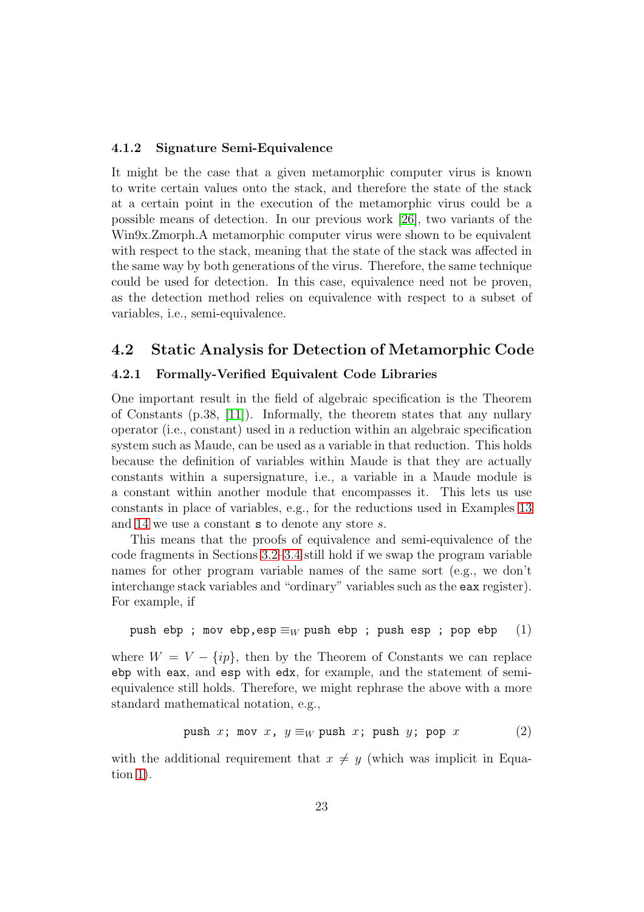#### 4.1.2 Signature Semi-Equivalence

It might be the case that a given metamorphic computer virus is known to write certain values onto the stack, and therefore the state of the stack at a certain point in the execution of the metamorphic virus could be a possible means of detection. In our previous work [\[26\]](#page-33-7), two variants of the Win9x.Zmorph.A metamorphic computer virus were shown to be equivalent with respect to the stack, meaning that the state of the stack was affected in the same way by both generations of the virus. Therefore, the same technique could be used for detection. In this case, equivalence need not be proven, as the detection method relies on equivalence with respect to a subset of variables, i.e., semi-equivalence.

### <span id="page-22-2"></span>4.2 Static Analysis for Detection of Metamorphic Code

### 4.2.1 Formally-Verified Equivalent Code Libraries

One important result in the field of algebraic specification is the Theorem of Constants (p.38, [\[11\]](#page-32-7)). Informally, the theorem states that any nullary operator (i.e., constant) used in a reduction within an algebraic specification system such as Maude, can be used as a variable in that reduction. This holds because the definition of variables within Maude is that they are actually constants within a supersignature, i.e., a variable in a Maude module is a constant within another module that encompasses it. This lets us use constants in place of variables, e.g., for the reductions used in Examples [13](#page-15-2) and [14](#page-16-0) we use a constant s to denote any store s.

This means that the proofs of equivalence and semi-equivalence of the code fragments in Sections [3.2–](#page-15-0)[3.4](#page-19-0) still hold if we swap the program variable names for other program variable names of the same sort (e.g., we don't interchange stack variables and "ordinary" variables such as the eax register). For example, if

<span id="page-22-0"></span>push ebp ; mov ebp, esp  $\equiv_W$  push ebp ; push esp ; pop ebp (1)

where  $W = V - \{ip\}$ , then by the Theorem of Constants we can replace ebp with eax, and esp with edx, for example, and the statement of semiequivalence still holds. Therefore, we might rephrase the above with a more standard mathematical notation, e.g.,

<span id="page-22-1"></span>
$$
\text{push } x \text{; mov } x \text{, } y \equiv_W \text{push } x \text{; push } y \text{; pop } x \tag{2}
$$

with the additional requirement that  $x \neq y$  (which was implicit in Equation [1\)](#page-22-0).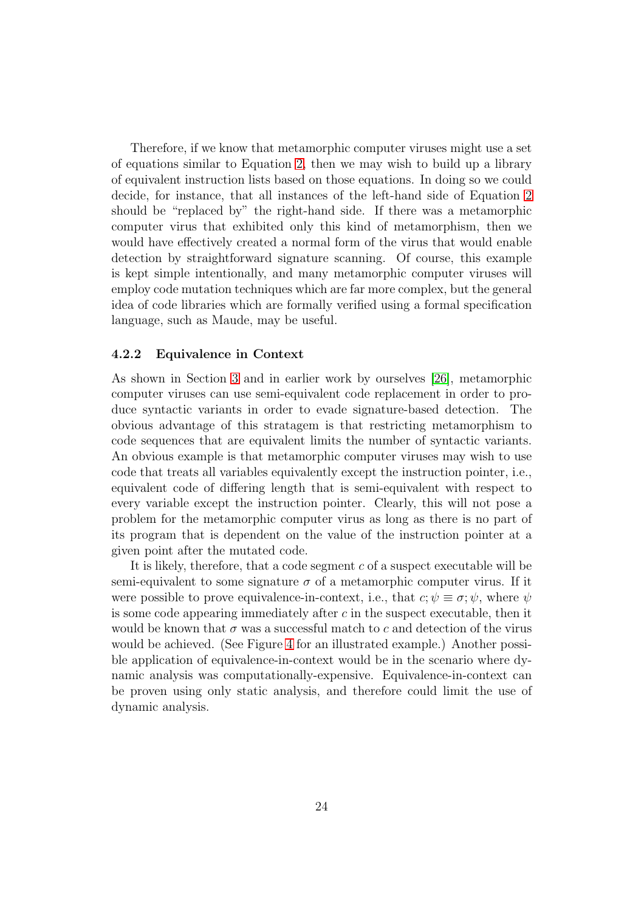Therefore, if we know that metamorphic computer viruses might use a set of equations similar to Equation [2,](#page-22-1) then we may wish to build up a library of equivalent instruction lists based on those equations. In doing so we could decide, for instance, that all instances of the left-hand side of Equation [2](#page-22-1) should be "replaced by" the right-hand side. If there was a metamorphic computer virus that exhibited only this kind of metamorphism, then we would have effectively created a normal form of the virus that would enable detection by straightforward signature scanning. Of course, this example is kept simple intentionally, and many metamorphic computer viruses will employ code mutation techniques which are far more complex, but the general idea of code libraries which are formally verified using a formal specification language, such as Maude, may be useful.

### 4.2.2 Equivalence in Context

As shown in Section [3](#page-9-0) and in earlier work by ourselves [\[26\]](#page-33-7), metamorphic computer viruses can use semi-equivalent code replacement in order to produce syntactic variants in order to evade signature-based detection. The obvious advantage of this stratagem is that restricting metamorphism to code sequences that are equivalent limits the number of syntactic variants. An obvious example is that metamorphic computer viruses may wish to use code that treats all variables equivalently except the instruction pointer, i.e., equivalent code of differing length that is semi-equivalent with respect to every variable except the instruction pointer. Clearly, this will not pose a problem for the metamorphic computer virus as long as there is no part of its program that is dependent on the value of the instruction pointer at a given point after the mutated code.

It is likely, therefore, that a code segment  $c$  of a suspect executable will be semi-equivalent to some signature  $\sigma$  of a metamorphic computer virus. If it were possible to prove equivalence-in-context, i.e., that  $c, \psi \equiv \sigma, \psi$ , where  $\psi$ is some code appearing immediately after  $c$  in the suspect executable, then it would be known that  $\sigma$  was a successful match to c and detection of the virus would be achieved. (See Figure [4](#page-24-1) for an illustrated example.) Another possible application of equivalence-in-context would be in the scenario where dynamic analysis was computationally-expensive. Equivalence-in-context can be proven using only static analysis, and therefore could limit the use of dynamic analysis.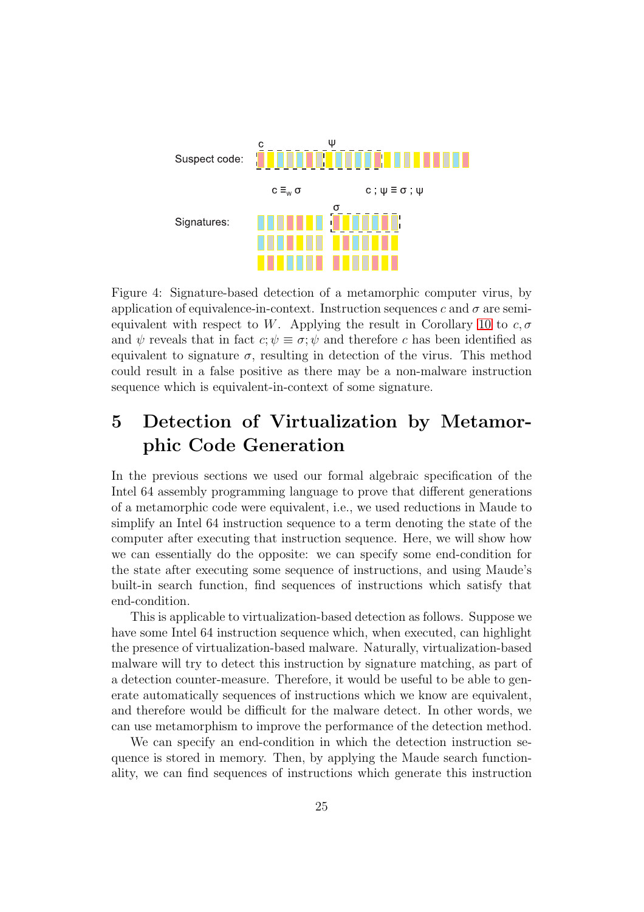

<span id="page-24-1"></span>Figure 4: Signature-based detection of a metamorphic computer virus, by application of equivalence-in-context. Instruction sequences c and  $\sigma$  are semi-equivalent with respect to W. Applying the result in Corollary [10](#page-13-0) to  $c, \sigma$ and  $\psi$  reveals that in fact  $c; \psi \equiv \sigma; \psi$  and therefore c has been identified as equivalent to signature  $\sigma$ , resulting in detection of the virus. This method could result in a false positive as there may be a non-malware instruction sequence which is equivalent-in-context of some signature.

# <span id="page-24-0"></span>5 Detection of Virtualization by Metamorphic Code Generation

In the previous sections we used our formal algebraic specification of the Intel 64 assembly programming language to prove that different generations of a metamorphic code were equivalent, i.e., we used reductions in Maude to simplify an Intel 64 instruction sequence to a term denoting the state of the computer after executing that instruction sequence. Here, we will show how we can essentially do the opposite: we can specify some end-condition for the state after executing some sequence of instructions, and using Maude's built-in search function, find sequences of instructions which satisfy that end-condition.

This is applicable to virtualization-based detection as follows. Suppose we have some Intel 64 instruction sequence which, when executed, can highlight the presence of virtualization-based malware. Naturally, virtualization-based malware will try to detect this instruction by signature matching, as part of a detection counter-measure. Therefore, it would be useful to be able to generate automatically sequences of instructions which we know are equivalent, and therefore would be difficult for the malware detect. In other words, we can use metamorphism to improve the performance of the detection method.

We can specify an end-condition in which the detection instruction sequence is stored in memory. Then, by applying the Maude search functionality, we can find sequences of instructions which generate this instruction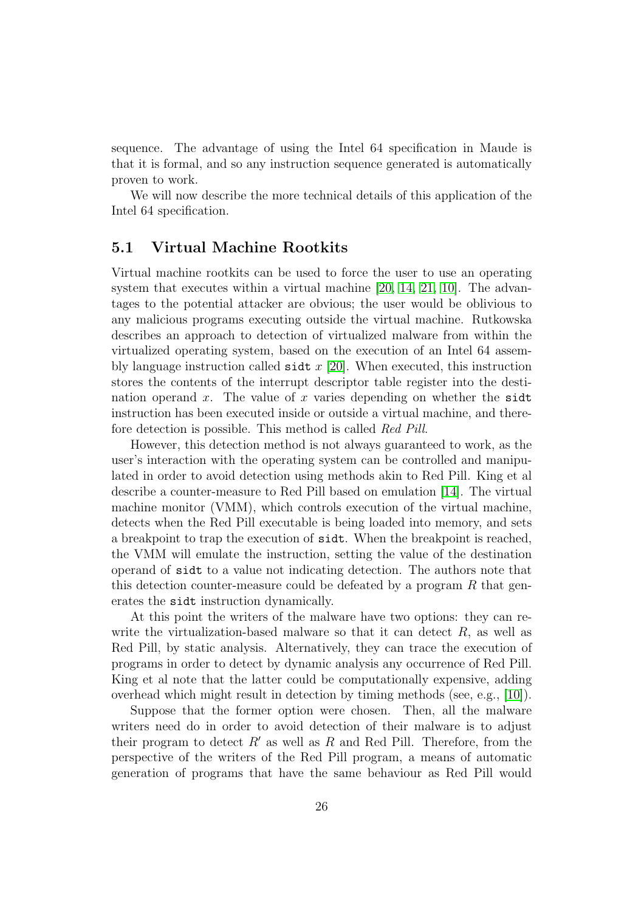sequence. The advantage of using the Intel 64 specification in Maude is that it is formal, and so any instruction sequence generated is automatically proven to work.

We will now describe the more technical details of this application of the Intel 64 specification.

### 5.1 Virtual Machine Rootkits

Virtual machine rootkits can be used to force the user to use an operating system that executes within a virtual machine [\[20,](#page-33-6) [14,](#page-32-1) [21,](#page-33-0) [10\]](#page-32-3). The advantages to the potential attacker are obvious; the user would be oblivious to any malicious programs executing outside the virtual machine. Rutkowska describes an approach to detection of virtualized malware from within the virtualized operating system, based on the execution of an Intel 64 assembly language instruction called sidt  $x$  [\[20\]](#page-33-6). When executed, this instruction stores the contents of the interrupt descriptor table register into the destination operand x. The value of x varies depending on whether the side instruction has been executed inside or outside a virtual machine, and therefore detection is possible. This method is called Red Pill.

However, this detection method is not always guaranteed to work, as the user's interaction with the operating system can be controlled and manipulated in order to avoid detection using methods akin to Red Pill. King et al describe a counter-measure to Red Pill based on emulation [\[14\]](#page-32-1). The virtual machine monitor (VMM), which controls execution of the virtual machine, detects when the Red Pill executable is being loaded into memory, and sets a breakpoint to trap the execution of sidt. When the breakpoint is reached, the VMM will emulate the instruction, setting the value of the destination operand of sidt to a value not indicating detection. The authors note that this detection counter-measure could be defeated by a program  $R$  that generates the sidt instruction dynamically.

At this point the writers of the malware have two options: they can rewrite the virtualization-based malware so that it can detect  $R$ , as well as Red Pill, by static analysis. Alternatively, they can trace the execution of programs in order to detect by dynamic analysis any occurrence of Red Pill. King et al note that the latter could be computationally expensive, adding overhead which might result in detection by timing methods (see, e.g., [\[10\]](#page-32-3)).

Suppose that the former option were chosen. Then, all the malware writers need do in order to avoid detection of their malware is to adjust their program to detect  $R'$  as well as  $R$  and Red Pill. Therefore, from the perspective of the writers of the Red Pill program, a means of automatic generation of programs that have the same behaviour as Red Pill would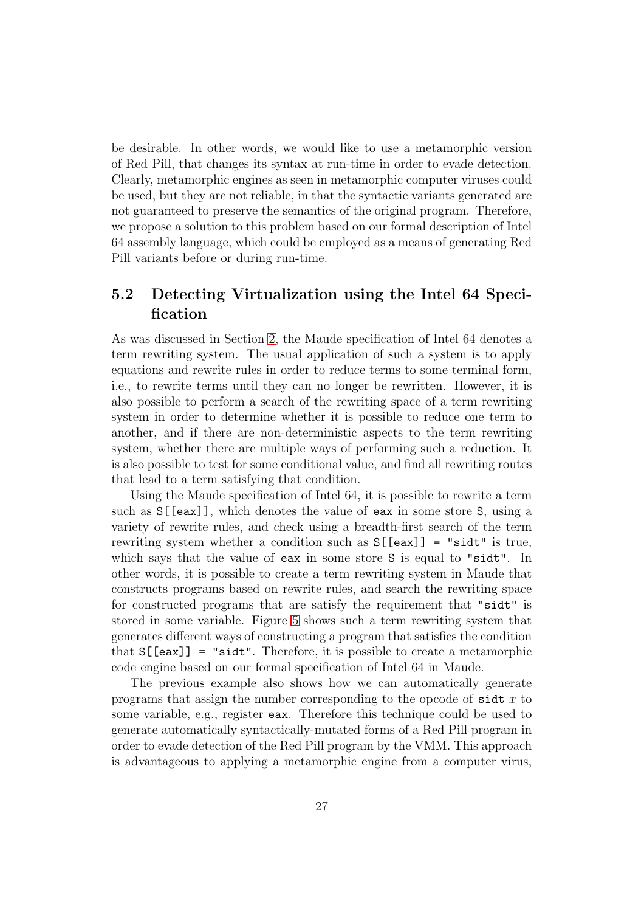be desirable. In other words, we would like to use a metamorphic version of Red Pill, that changes its syntax at run-time in order to evade detection. Clearly, metamorphic engines as seen in metamorphic computer viruses could be used, but they are not reliable, in that the syntactic variants generated are not guaranteed to preserve the semantics of the original program. Therefore, we propose a solution to this problem based on our formal description of Intel 64 assembly language, which could be employed as a means of generating Red Pill variants before or during run-time.

## 5.2 Detecting Virtualization using the Intel 64 Specification

As was discussed in Section [2,](#page-2-0) the Maude specification of Intel 64 denotes a term rewriting system. The usual application of such a system is to apply equations and rewrite rules in order to reduce terms to some terminal form, i.e., to rewrite terms until they can no longer be rewritten. However, it is also possible to perform a search of the rewriting space of a term rewriting system in order to determine whether it is possible to reduce one term to another, and if there are non-deterministic aspects to the term rewriting system, whether there are multiple ways of performing such a reduction. It is also possible to test for some conditional value, and find all rewriting routes that lead to a term satisfying that condition.

Using the Maude specification of Intel 64, it is possible to rewrite a term such as S[[eax]], which denotes the value of eax in some store S, using a variety of rewrite rules, and check using a breadth-first search of the term rewriting system whether a condition such as S[[eax]] = "sidt" is true, which says that the value of eax in some store S is equal to "sidt". In other words, it is possible to create a term rewriting system in Maude that constructs programs based on rewrite rules, and search the rewriting space for constructed programs that are satisfy the requirement that "sidt" is stored in some variable. Figure [5](#page-27-0) shows such a term rewriting system that generates different ways of constructing a program that satisfies the condition that  $S[[eax]] = "sidt".$  Therefore, it is possible to create a metamorphic code engine based on our formal specification of Intel 64 in Maude.

The previous example also shows how we can automatically generate programs that assign the number corresponding to the opcode of  $s$ idt x to some variable, e.g., register eax. Therefore this technique could be used to generate automatically syntactically-mutated forms of a Red Pill program in order to evade detection of the Red Pill program by the VMM. This approach is advantageous to applying a metamorphic engine from a computer virus,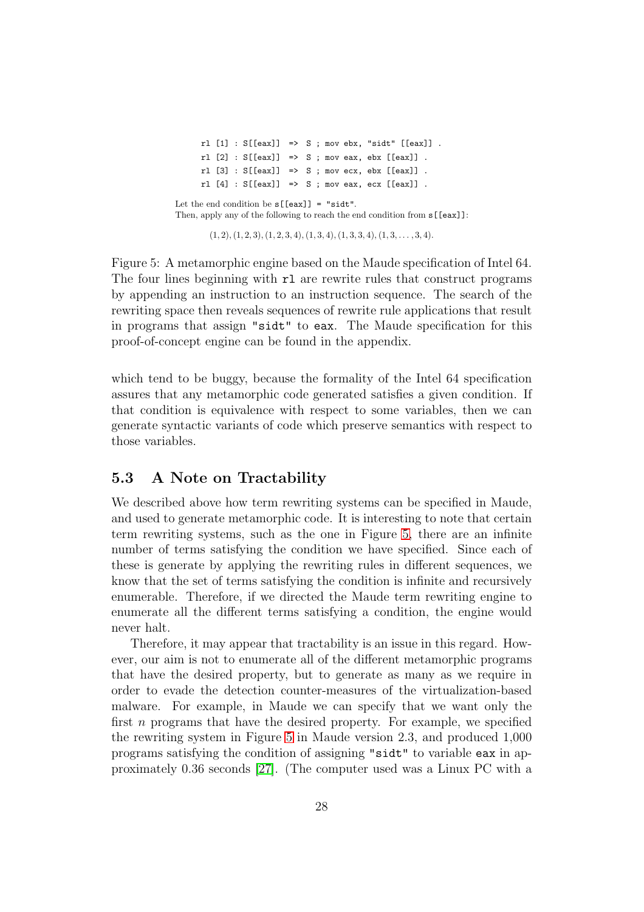$r1$  [1] : S[[eax]] => S ; mov ebx, "sidt" [[eax]].  $r1$  [2] :  $S[[eax]] \Rightarrow S$ ; mov eax, ebx  $[[eax]]$ .  $r1 [3] : S[[eax]] \Rightarrow S$ ; mov ecx, ebx  $[[eax]]$ .  $r1$  [4] :  $S[[eax]] \Rightarrow S$ ; mov eax, ecx  $[[eax]]$ . Let the end condition be  $s[[eax]] = "sidt".$ Then, apply any of the following to reach the end condition from s[[eax]]:

 $(1, 2), (1, 2, 3), (1, 2, 3, 4), (1, 3, 4), (1, 3, 3, 4), (1, 3, \ldots, 3, 4).$ 

<span id="page-27-0"></span>Figure 5: A metamorphic engine based on the Maude specification of Intel 64. The four lines beginning with  $r1$  are rewrite rules that construct programs by appending an instruction to an instruction sequence. The search of the rewriting space then reveals sequences of rewrite rule applications that result in programs that assign "sidt" to eax. The Maude specification for this proof-of-concept engine can be found in the appendix.

which tend to be buggy, because the formality of the Intel 64 specification assures that any metamorphic code generated satisfies a given condition. If that condition is equivalence with respect to some variables, then we can generate syntactic variants of code which preserve semantics with respect to those variables.

## 5.3 A Note on Tractability

We described above how term rewriting systems can be specified in Maude, and used to generate metamorphic code. It is interesting to note that certain term rewriting systems, such as the one in Figure [5,](#page-27-0) there are an infinite number of terms satisfying the condition we have specified. Since each of these is generate by applying the rewriting rules in different sequences, we know that the set of terms satisfying the condition is infinite and recursively enumerable. Therefore, if we directed the Maude term rewriting engine to enumerate all the different terms satisfying a condition, the engine would never halt.

Therefore, it may appear that tractability is an issue in this regard. However, our aim is not to enumerate all of the different metamorphic programs that have the desired property, but to generate as many as we require in order to evade the detection counter-measures of the virtualization-based malware. For example, in Maude we can specify that we want only the first n programs that have the desired property. For example, we specified the rewriting system in Figure [5](#page-27-0) in Maude version 2.3, and produced 1,000 programs satisfying the condition of assigning "sidt" to variable eax in approximately 0.36 seconds [\[27\]](#page-33-11). (The computer used was a Linux PC with a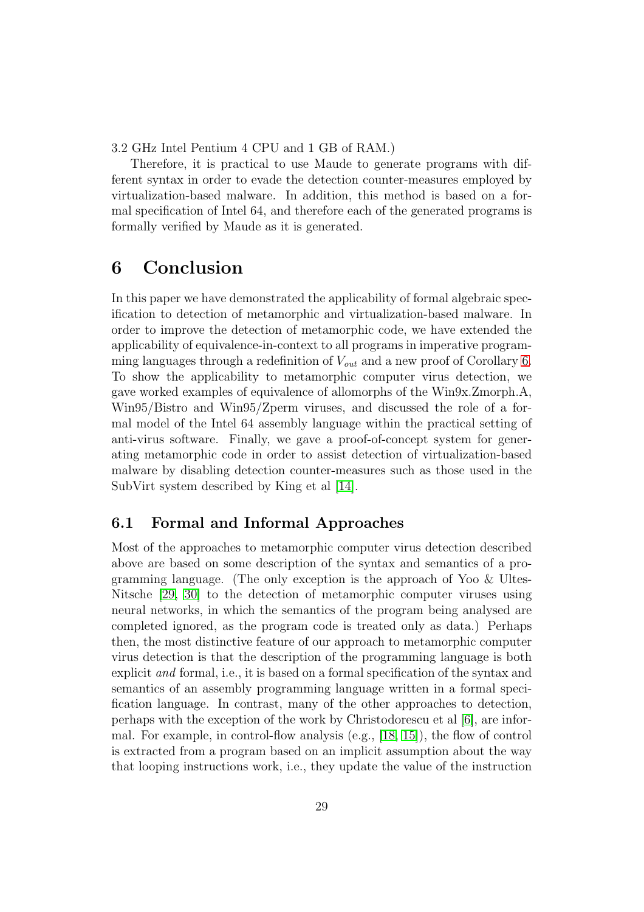3.2 GHz Intel Pentium 4 CPU and 1 GB of RAM.)

Therefore, it is practical to use Maude to generate programs with different syntax in order to evade the detection counter-measures employed by virtualization-based malware. In addition, this method is based on a formal specification of Intel 64, and therefore each of the generated programs is formally verified by Maude as it is generated.

# 6 Conclusion

In this paper we have demonstrated the applicability of formal algebraic specification to detection of metamorphic and virtualization-based malware. In order to improve the detection of metamorphic code, we have extended the applicability of equivalence-in-context to all programs in imperative programming languages through a redefinition of  $V_{out}$  and a new proof of Corollary [6.](#page-11-0) To show the applicability to metamorphic computer virus detection, we gave worked examples of equivalence of allomorphs of the Win9x.Zmorph.A, Win95/Bistro and Win95/Zperm viruses, and discussed the role of a formal model of the Intel 64 assembly language within the practical setting of anti-virus software. Finally, we gave a proof-of-concept system for generating metamorphic code in order to assist detection of virtualization-based malware by disabling detection counter-measures such as those used in the SubVirt system described by King et al [\[14\]](#page-32-1).

## 6.1 Formal and Informal Approaches

Most of the approaches to metamorphic computer virus detection described above are based on some description of the syntax and semantics of a programming language. (The only exception is the approach of Yoo & Ultes-Nitsche [\[29,](#page-34-0) [30\]](#page-34-1) to the detection of metamorphic computer viruses using neural networks, in which the semantics of the program being analysed are completed ignored, as the program code is treated only as data.) Perhaps then, the most distinctive feature of our approach to metamorphic computer virus detection is that the description of the programming language is both explicit and formal, i.e., it is based on a formal specification of the syntax and semantics of an assembly programming language written in a formal specification language. In contrast, many of the other approaches to detection, perhaps with the exception of the work by Christodorescu et al [\[6\]](#page-31-2), are informal. For example, in control-flow analysis (e.g., [\[18,](#page-33-1) [15\]](#page-32-2)), the flow of control is extracted from a program based on an implicit assumption about the way that looping instructions work, i.e., they update the value of the instruction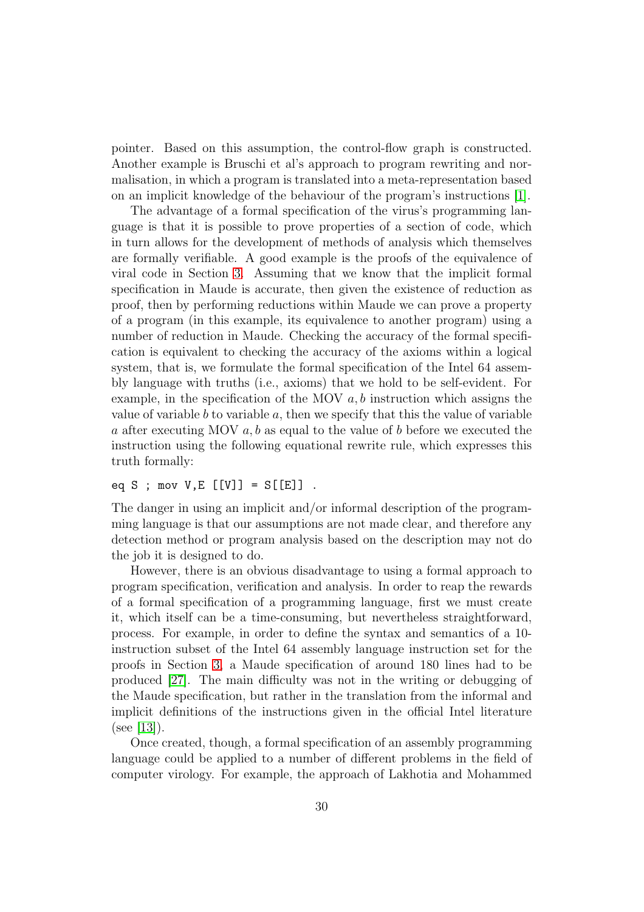pointer. Based on this assumption, the control-flow graph is constructed. Another example is Bruschi et al's approach to program rewriting and normalisation, in which a program is translated into a meta-representation based on an implicit knowledge of the behaviour of the program's instructions [\[1\]](#page-31-1).

The advantage of a formal specification of the virus's programming language is that it is possible to prove properties of a section of code, which in turn allows for the development of methods of analysis which themselves are formally verifiable. A good example is the proofs of the equivalence of viral code in Section [3.](#page-9-0) Assuming that we know that the implicit formal specification in Maude is accurate, then given the existence of reduction as proof, then by performing reductions within Maude we can prove a property of a program (in this example, its equivalence to another program) using a number of reduction in Maude. Checking the accuracy of the formal specification is equivalent to checking the accuracy of the axioms within a logical system, that is, we formulate the formal specification of the Intel 64 assembly language with truths (i.e., axioms) that we hold to be self-evident. For example, in the specification of the MOV  $a, b$  instruction which assigns the value of variable  $b$  to variable  $a$ , then we specify that this the value of variable a after executing MOV  $a, b$  as equal to the value of b before we executed the instruction using the following equational rewrite rule, which expresses this truth formally:

## eq S ; mov  $V, E$  [[V]] =  $S[[E]]$

The danger in using an implicit and/or informal description of the programming language is that our assumptions are not made clear, and therefore any detection method or program analysis based on the description may not do the job it is designed to do.

However, there is an obvious disadvantage to using a formal approach to program specification, verification and analysis. In order to reap the rewards of a formal specification of a programming language, first we must create it, which itself can be a time-consuming, but nevertheless straightforward, process. For example, in order to define the syntax and semantics of a 10 instruction subset of the Intel 64 assembly language instruction set for the proofs in Section [3,](#page-9-0) a Maude specification of around 180 lines had to be produced [\[27\]](#page-33-11). The main difficulty was not in the writing or debugging of the Maude specification, but rather in the translation from the informal and implicit definitions of the instructions given in the official Intel literature  $(see [13]).$  $(see [13]).$  $(see [13]).$ 

Once created, though, a formal specification of an assembly programming language could be applied to a number of different problems in the field of computer virology. For example, the approach of Lakhotia and Mohammed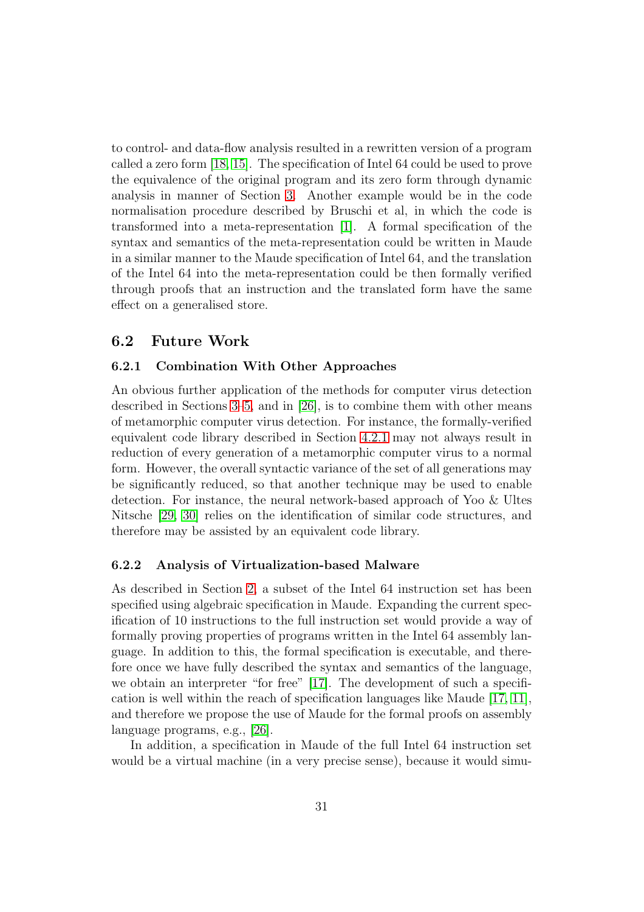to control- and data-flow analysis resulted in a rewritten version of a program called a zero form [\[18,](#page-33-1) [15\]](#page-32-2). The specification of Intel 64 could be used to prove the equivalence of the original program and its zero form through dynamic analysis in manner of Section [3.](#page-9-0) Another example would be in the code normalisation procedure described by Bruschi et al, in which the code is transformed into a meta-representation [\[1\]](#page-31-1). A formal specification of the syntax and semantics of the meta-representation could be written in Maude in a similar manner to the Maude specification of Intel 64, and the translation of the Intel 64 into the meta-representation could be then formally verified through proofs that an instruction and the translated form have the same effect on a generalised store.

### 6.2 Future Work

### 6.2.1 Combination With Other Approaches

An obvious further application of the methods for computer virus detection described in Sections [3–](#page-9-0)[5,](#page-24-0) and in [\[26\]](#page-33-7), is to combine them with other means of metamorphic computer virus detection. For instance, the formally-verified equivalent code library described in Section [4.2.1](#page-22-2) may not always result in reduction of every generation of a metamorphic computer virus to a normal form. However, the overall syntactic variance of the set of all generations may be significantly reduced, so that another technique may be used to enable detection. For instance, the neural network-based approach of Yoo & Ultes Nitsche [\[29,](#page-34-0) [30\]](#page-34-1) relies on the identification of similar code structures, and therefore may be assisted by an equivalent code library.

### 6.2.2 Analysis of Virtualization-based Malware

As described in Section [2,](#page-2-0) a subset of the Intel 64 instruction set has been specified using algebraic specification in Maude. Expanding the current specification of 10 instructions to the full instruction set would provide a way of formally proving properties of programs written in the Intel 64 assembly language. In addition to this, the formal specification is executable, and therefore once we have fully described the syntax and semantics of the language, we obtain an interpreter "for free" [\[17\]](#page-33-9). The development of such a specification is well within the reach of specification languages like Maude [\[17,](#page-33-9) [11\]](#page-32-7), and therefore we propose the use of Maude for the formal proofs on assembly language programs, e.g., [\[26\]](#page-33-7).

In addition, a specification in Maude of the full Intel 64 instruction set would be a virtual machine (in a very precise sense), because it would simu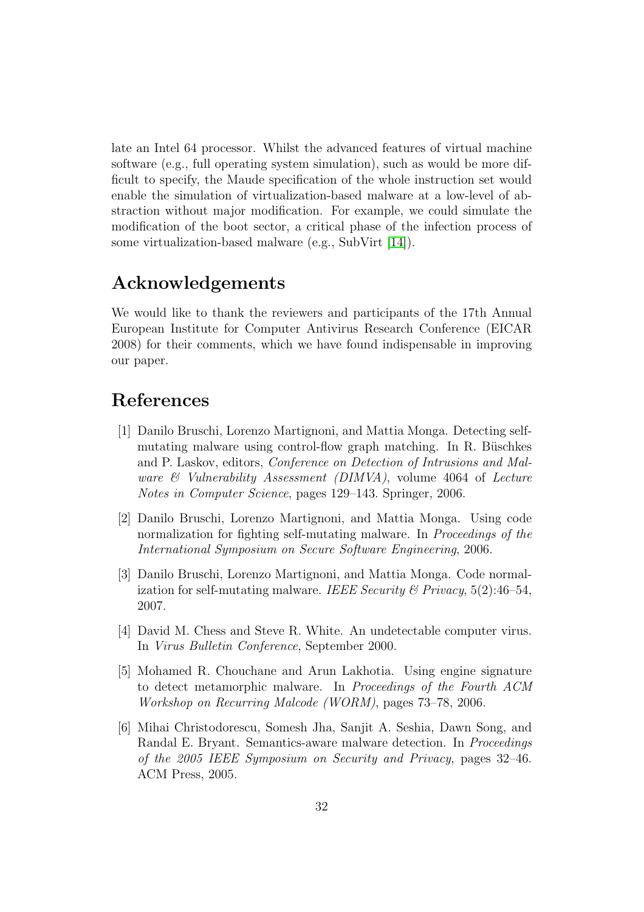late an Intel 64 processor. Whilst the advanced features of virtual machine software (e.g., full operating system simulation), such as would be more difficult to specify, the Maude specification of the whole instruction set would enable the simulation of virtualization-based malware at a low-level of abstraction without major modification. For example, we could simulate the modification of the boot sector, a critical phase of the infection process of some virtualization-based malware (e.g., SubVirt [\[14\]](#page-32-1)).

# Acknowledgements

We would like to thank the reviewers and participants of the 17th Annual European Institute for Computer Antivirus Research Conference (EICAR 2008) for their comments, which we have found indispensable in improving our paper.

# <span id="page-31-1"></span>References

- [1] Danilo Bruschi, Lorenzo Martignoni, and Mattia Monga. Detecting selfmutating malware using control-flow graph matching. In R. Büschkes and P. Laskov, editors, Conference on Detection of Intrusions and Malware  $\mathcal C$  Vulnerability Assessment (DIMVA), volume 4064 of Lecture Notes in Computer Science, pages 129–143. Springer, 2006.
- <span id="page-31-3"></span>[2] Danilo Bruschi, Lorenzo Martignoni, and Mattia Monga. Using code normalization for fighting self-mutating malware. In Proceedings of the International Symposium on Secure Software Engineering, 2006.
- <span id="page-31-4"></span>[3] Danilo Bruschi, Lorenzo Martignoni, and Mattia Monga. Code normalization for self-mutating malware. IEEE Security & Privacy,  $5(2)$ :46-54, 2007.
- <span id="page-31-5"></span><span id="page-31-0"></span>[4] David M. Chess and Steve R. White. An undetectable computer virus. In Virus Bulletin Conference, September 2000.
- [5] Mohamed R. Chouchane and Arun Lakhotia. Using engine signature to detect metamorphic malware. In Proceedings of the Fourth ACM Workshop on Recurring Malcode (WORM), pages 73–78, 2006.
- <span id="page-31-2"></span>[6] Mihai Christodorescu, Somesh Jha, Sanjit A. Seshia, Dawn Song, and Randal E. Bryant. Semantics-aware malware detection. In Proceedings of the 2005 IEEE Symposium on Security and Privacy, pages 32–46. ACM Press, 2005.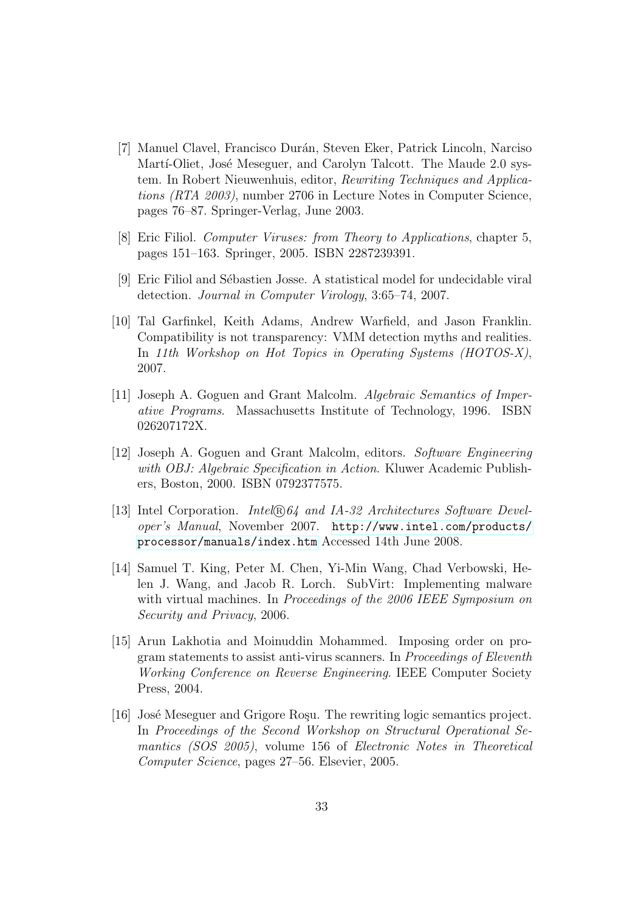- <span id="page-32-5"></span>[7] Manuel Clavel, Francisco Durán, Steven Eker, Patrick Lincoln, Narciso Martí-Oliet, José Meseguer, and Carolyn Talcott. The Maude 2.0 system. In Robert Nieuwenhuis, editor, Rewriting Techniques and Applications (RTA 2003), number 2706 in Lecture Notes in Computer Science, pages 76–87. Springer-Verlag, June 2003.
- <span id="page-32-9"></span><span id="page-32-0"></span>[8] Eric Filiol. Computer Viruses: from Theory to Applications, chapter 5, pages 151–163. Springer, 2005. ISBN 2287239391.
- <span id="page-32-3"></span>[9] Eric Filiol and S´ebastien Josse. A statistical model for undecidable viral detection. Journal in Computer Virology, 3:65–74, 2007.
- [10] Tal Garfinkel, Keith Adams, Andrew Warfield, and Jason Franklin. Compatibility is not transparency: VMM detection myths and realities. In 11th Workshop on Hot Topics in Operating Systems (HOTOS-X), 2007.
- <span id="page-32-7"></span>[11] Joseph A. Goguen and Grant Malcolm. Algebraic Semantics of Imperative Programs. Massachusetts Institute of Technology, 1996. ISBN 026207172X.
- <span id="page-32-6"></span>[12] Joseph A. Goguen and Grant Malcolm, editors. Software Engineering with OBJ: Algebraic Specification in Action. Kluwer Academic Publishers, Boston, 2000. ISBN 0792377575.
- <span id="page-32-4"></span>[13] Intel Corporation. *Intel*®, *nd IA-32 Architectures Software Devel*oper's Manual, November 2007. [http://www.intel.com/products/](http://www.intel.com/products/processor/manuals/index.htm) [processor/manuals/index.htm](http://www.intel.com/products/processor/manuals/index.htm) Accessed 14th June 2008.
- <span id="page-32-1"></span>[14] Samuel T. King, Peter M. Chen, Yi-Min Wang, Chad Verbowski, Helen J. Wang, and Jacob R. Lorch. SubVirt: Implementing malware with virtual machines. In Proceedings of the 2006 IEEE Symposium on Security and Privacy, 2006.
- <span id="page-32-2"></span>[15] Arun Lakhotia and Moinuddin Mohammed. Imposing order on program statements to assist anti-virus scanners. In Proceedings of Eleventh Working Conference on Reverse Engineering. IEEE Computer Society Press, 2004.
- <span id="page-32-8"></span>[16] José Meseguer and Grigore Roşu. The rewriting logic semantics project. In Proceedings of the Second Workshop on Structural Operational Semantics (SOS 2005), volume 156 of Electronic Notes in Theoretical Computer Science, pages 27–56. Elsevier, 2005.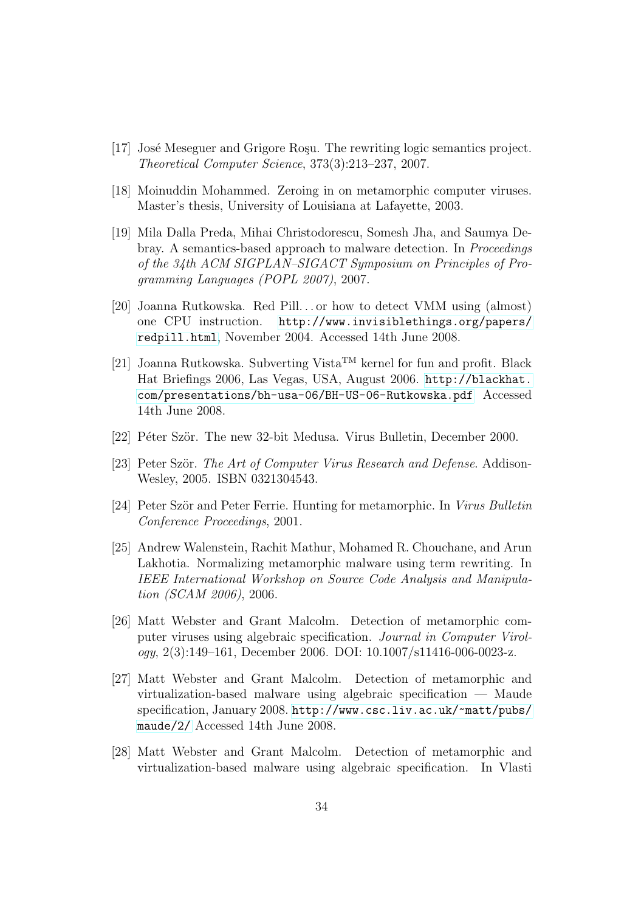- <span id="page-33-9"></span><span id="page-33-1"></span>[17] José Meseguer and Grigore Rosu. The rewriting logic semantics project. Theoretical Computer Science, 373(3):213–237, 2007.
- <span id="page-33-2"></span>[18] Moinuddin Mohammed. Zeroing in on metamorphic computer viruses. Master's thesis, University of Louisiana at Lafayette, 2003.
- [19] Mila Dalla Preda, Mihai Christodorescu, Somesh Jha, and Saumya Debray. A semantics-based approach to malware detection. In Proceedings of the 34th ACM SIGPLAN–SIGACT Symposium on Principles of Programming Languages (POPL 2007), 2007.
- <span id="page-33-6"></span>[20] Joanna Rutkowska. Red Pill. . . or how to detect VMM using (almost) one CPU instruction. [http://www.invisiblethings.org/papers/](http://www.invisiblethings.org/papers/redpill.html) [redpill.html](http://www.invisiblethings.org/papers/redpill.html), November 2004. Accessed 14th June 2008.
- <span id="page-33-0"></span>[21] Joanna Rutkowska. Subverting Vista<sup>TM</sup> kernel for fun and profit. Black Hat Briefings 2006, Las Vegas, USA, August 2006. [http://blackhat.](http://blackhat.com/presentations/bh-usa-06/BH-US-06-Rutkowska.pdf) [com/presentations/bh-usa-06/BH-US-06-Rutkowska.pdf](http://blackhat.com/presentations/bh-usa-06/BH-US-06-Rutkowska.pdf) Accessed 14th June 2008.
- <span id="page-33-10"></span><span id="page-33-4"></span>[22] Péter Ször. The new 32-bit Medusa. Virus Bulletin, December 2000.
- <span id="page-33-5"></span>[23] Peter Ször. The Art of Computer Virus Research and Defense. Addison-Wesley, 2005. ISBN 0321304543.
- <span id="page-33-3"></span>[24] Peter Ször and Peter Ferrie. Hunting for metamorphic. In Virus Bulletin Conference Proceedings, 2001.
- [25] Andrew Walenstein, Rachit Mathur, Mohamed R. Chouchane, and Arun Lakhotia. Normalizing metamorphic malware using term rewriting. In IEEE International Workshop on Source Code Analysis and Manipulation (SCAM 2006), 2006.
- <span id="page-33-7"></span>[26] Matt Webster and Grant Malcolm. Detection of metamorphic computer viruses using algebraic specification. Journal in Computer Virology, 2(3):149–161, December 2006. DOI: 10.1007/s11416-006-0023-z.
- <span id="page-33-11"></span>[27] Matt Webster and Grant Malcolm. Detection of metamorphic and virtualization-based malware using algebraic specification — Maude specification, January 2008. [http://www.csc.liv.ac.uk/~matt/pubs/](http://www.csc.liv.ac.uk/~matt/pubs/maude/2/) [maude/2/](http://www.csc.liv.ac.uk/~matt/pubs/maude/2/) Accessed 14th June 2008.
- <span id="page-33-8"></span>[28] Matt Webster and Grant Malcolm. Detection of metamorphic and virtualization-based malware using algebraic specification. In Vlasti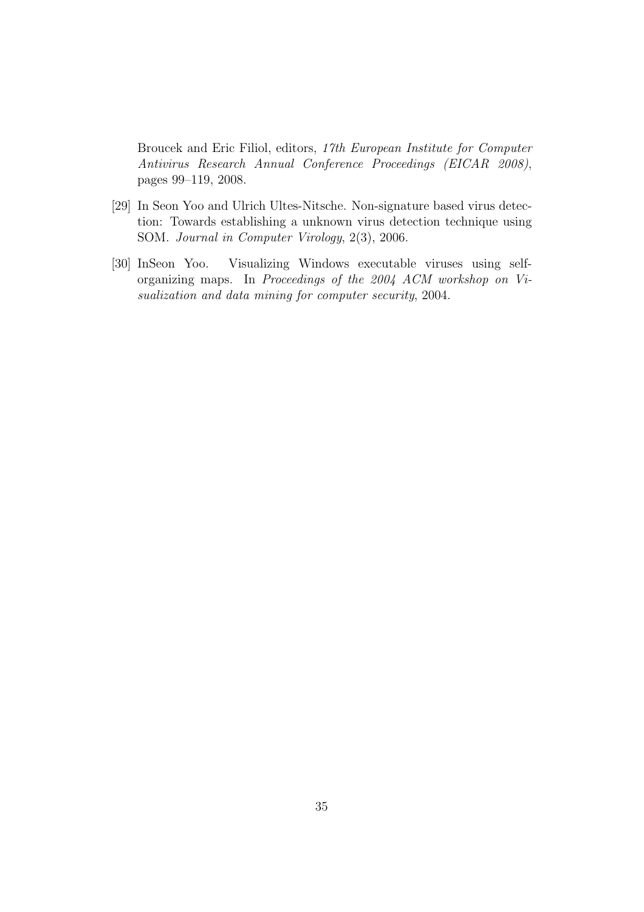Broucek and Eric Filiol, editors, 17th European Institute for Computer Antivirus Research Annual Conference Proceedings (EICAR 2008), pages 99–119, 2008.

- <span id="page-34-0"></span>[29] In Seon Yoo and Ulrich Ultes-Nitsche. Non-signature based virus detection: Towards establishing a unknown virus detection technique using SOM. Journal in Computer Virology, 2(3), 2006.
- <span id="page-34-1"></span>[30] InSeon Yoo. Visualizing Windows executable viruses using selforganizing maps. In Proceedings of the 2004 ACM workshop on Visualization and data mining for computer security, 2004.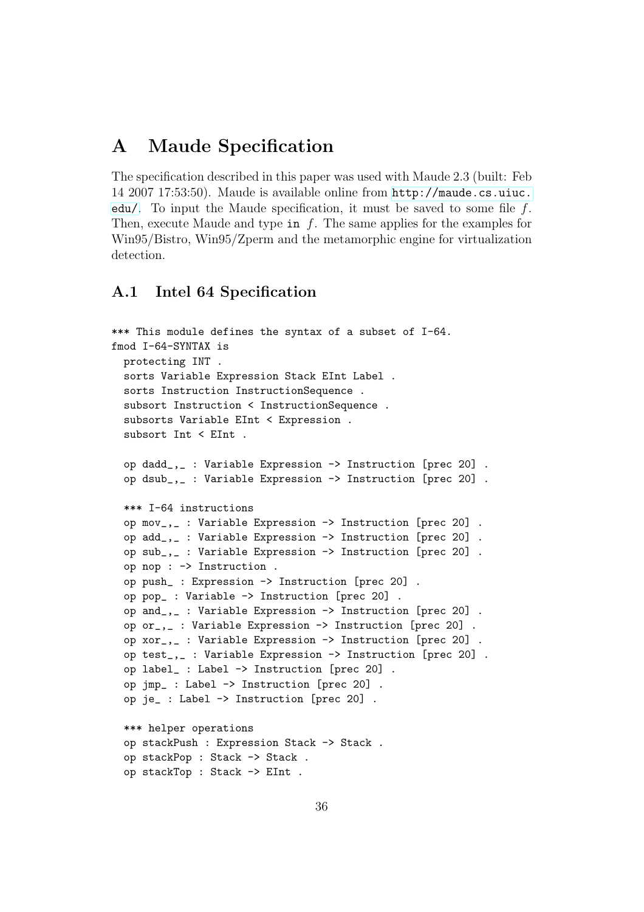# A Maude Specification

The specification described in this paper was used with Maude 2.3 (built: Feb 14 2007 17:53:50). Maude is available online from [http://maude.cs.uiuc.](http://maude.cs.uiuc.edu/) [edu/](http://maude.cs.uiuc.edu/). To input the Maude specification, it must be saved to some file f. Then, execute Maude and type in  $f$ . The same applies for the examples for Win95/Bistro, Win95/Zperm and the metamorphic engine for virtualization detection.

## A.1 Intel 64 Specification

```
*** This module defines the syntax of a subset of I-64.
fmod I-64-SYNTAX is
  protecting INT .
  sorts Variable Expression Stack EInt Label .
  sorts Instruction InstructionSequence .
  subsort Instruction < InstructionSequence .
  subsorts Variable EInt < Expression .
  subsort Int < EInt .
  op dadd_,_ : Variable Expression -> Instruction [prec 20] .
  op dsub_,_ : Variable Expression -> Instruction [prec 20] .
  *** I-64 instructions
  op mov_,_ : Variable Expression -> Instruction [prec 20] .
  op add_,_ : Variable Expression -> Instruction [prec 20] .
  op sub_,_ : Variable Expression -> Instruction [prec 20] .
  op nop : -> Instruction .
  op push_ : Expression -> Instruction [prec 20] .
  op pop_ : Variable -> Instruction [prec 20] .
  op and_,_ : Variable Expression -> Instruction [prec 20] .
  op or_,_ : Variable Expression -> Instruction [prec 20] .
  op xor_,_ : Variable Expression -> Instruction [prec 20] .
  op test_,_ : Variable Expression -> Instruction [prec 20] .
  op label_ : Label -> Instruction [prec 20] .
  op jmp_ : Label -> Instruction [prec 20] .
  op je_ : Label -> Instruction [prec 20] .
  *** helper operations
  op stackPush : Expression Stack -> Stack .
  op stackPop : Stack -> Stack .
  op stackTop : Stack -> EInt .
```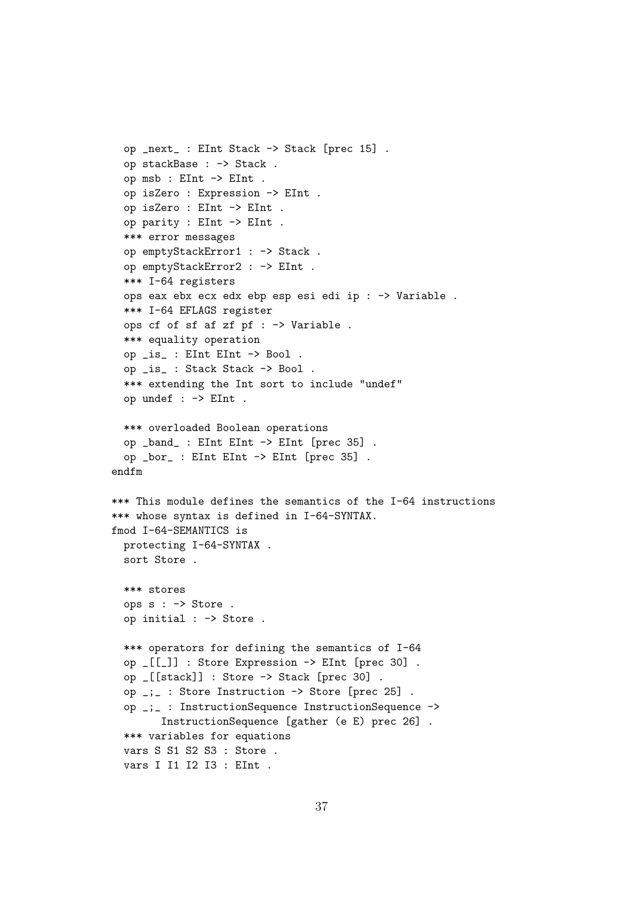```
op _next_ : EInt Stack -> Stack [prec 15] .
  op stackBase : -> Stack .
  op msb : EInt -> EInt .
  op isZero : Expression -> EInt .
  op isZero : EInt -> EInt .
  op parity : EInt -> EInt .
  *** error messages
  op emptyStackError1 : -> Stack .
  op emptyStackError2 : -> EInt .
  *** I-64 registers
  ops eax ebx ecx edx ebp esp esi edi ip : -> Variable .
  *** I-64 EFLAGS register
  ops cf of sf af zf pf : -> Variable .
  *** equality operation
  op _is_ : EInt EInt -> Bool .
  op _is_ : Stack Stack -> Bool .
  *** extending the Int sort to include "undef"
  op undef : -> EInt .
  *** overloaded Boolean operations
  op _band_ : EInt EInt -> EInt [prec 35] .
  op _bor_ : EInt EInt -> EInt [prec 35] .
endfm
*** This module defines the semantics of the I-64 instructions
*** whose syntax is defined in I-64-SYNTAX.
fmod I-64-SEMANTICS is
  protecting I-64-SYNTAX .
  sort Store .
  *** stores
  ops s : -> Store .
  op initial : -> Store .
  *** operators for defining the semantics of I-64
  op _[[_]] : Store Expression -> EInt [prec 30] .
  op _[[stack]] : Store -> Stack [prec 30] .
  op _;_ : Store Instruction -> Store [prec 25] .
  op _;_ : InstructionSequence InstructionSequence ->
        InstructionSequence [gather (e E) prec 26] .
  *** variables for equations
  vars S S1 S2 S3 : Store .
  vars I I1 I2 I3 : EInt .
```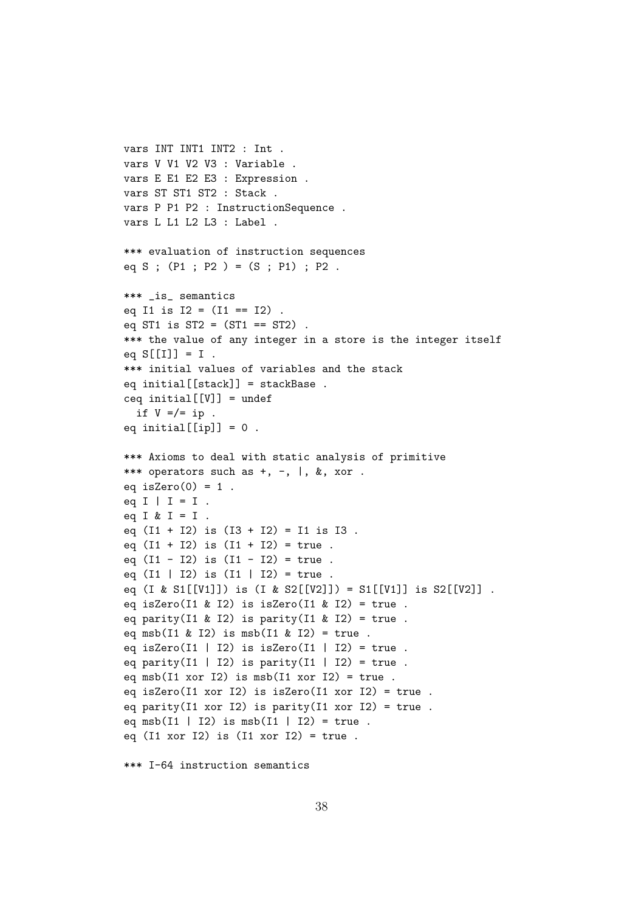```
vars INT INT1 INT2 : Int .
vars V V1 V2 V3 : Variable .
vars E E1 E2 E3 : Expression .
vars ST ST1 ST2 : Stack .
vars P P1 P2 : InstructionSequence .
vars L L1 L2 L3 : Label .
*** evaluation of instruction sequences
eq S ; (P1 ; P2 ) = (S ; P1) ; P2 .
*** _is_ semantics
eq I1 is I2 = (I1 == I2).
eq ST1 is ST2 = (ST1 == ST2).
*** the value of any integer in a store is the integer itself
eq S[[I]] = I.
*** initial values of variables and the stack
eq initial[[stack]] = stackBase .
ceq initial[[V]] = undef
  if V = / = ip.
eq initial[[ip]] = 0.
*** Axioms to deal with static analysis of primitive
*** operators such as +, -, |, &, xor.
eq isZero(0) = 1.
eq I \mid I = I.
eq I & I = I.
eq (I1 + I2) is (I3 + I2) = I1 is I3.
eq (11 + 12) is (11 + 12) = true.
eq (I1 - I2) is (I1 - I2) = true.
eq (11 | 12) is (11 | 12) = true.
eq (I & S1[[V1]]) is (I & S2[[V2]]) = S1[[V1]] is S2[[V2]].
eq isZero(I1 & I2) is isZero(I1 & I2) = true.
eq parity(I1 & I2) is parity(I1 & I2) = true.
eq msb(I1 & I2) is msb(I1 & I2) = true.
eq isZero(I1 | I2) is isZero(I1 | I2) = true.
eq parity(I1 | I2) is parity(I1 | I2) = true.
eq msb(I1 xor I2) is msb(I1 xor I2) = true.
eq isZero(I1 xor I2) is isZero(I1 xor I2) = true .
eq parity(I1 xor I2) is parity(I1 xor I2) = true.
eq msb(I1 | I2) is msb(I1 | I2) = true.
eq (I1 xor I2) is (I1 xor I2) = true.
```
\*\*\* I-64 instruction semantics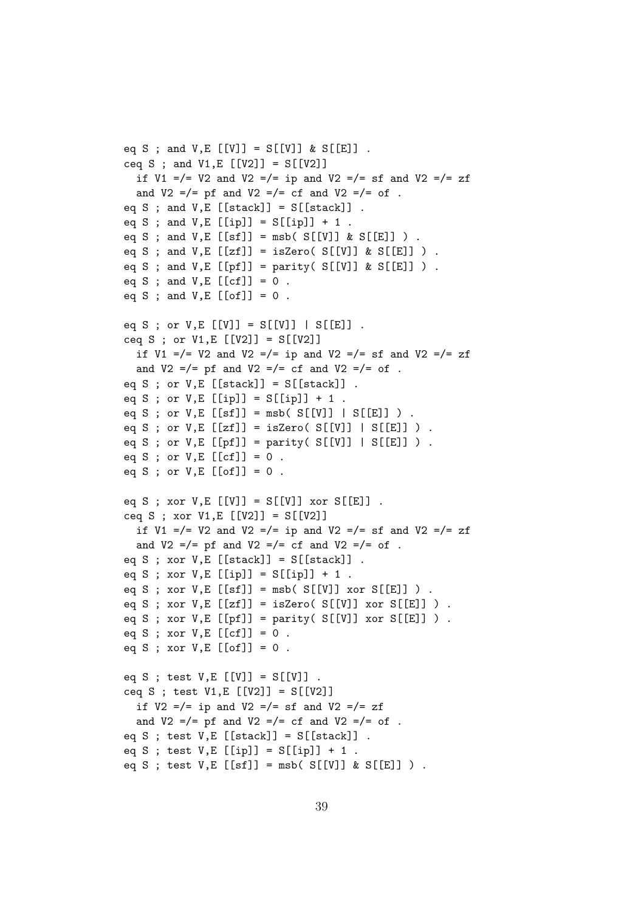```
eq S ; and V,E [[V]] = S[[V]] & S[[E]].
ceq S ; and V1, E [V2]] = S[V2]]
  if V1 =/= V2 and V2 =/= ip and V2 =/= sf and V2 =/= zf
  and V2 = = pf and V2 = = rf and V2 = = rf.
eq S ; and V, E [[stack]] = S[[stack]] .
eq S ; and V, E [[ip]] = S[[ip]] + 1.
eq S ; and V, E [[sf]] = msb( S[[V]] & S[[E]] ) .
eq S ; and V, E [[zf]] = isZero([S[[V]] & S[[E]] ).
eq S ; and V, E [[pf]] = parity( S[[V]] & S[[E]] ) .
eq S ; and V, E [[cf]] = 0.
eq S ; and V, E [[of]] = 0.
eq S ; or V, E [[V]] = S[[V]] | S[[E]] .
ceq S ; or V1, E [[V2]] = S[[V2]]
  if V1 =/= V2 and V2 =/= ip and V2 =/= sf and V2 =/= zf
  and V2 = /= pf and V2 = /= cf and V2 = /= of.
eq S ; or V, E [[stack]] = S[[stack]].
eq S ; or V, E [[ip]] = S[[ip]] + 1.
eq S ; or V, E [[sf]] = msb( S[[V]] | S[[E]] ) .
eq S ; or V, E [[zf]] = isZero( S[[V]] | S[[E]] ) .
eq S ; or V, E [[pf]] = parity( S[[V]] | S[[E]] ) .
eq S ; or V, E [[cf]] = 0.
eq S ; or V, E [[of]] = 0.
eq S ; xor V, E [[V]] = S[[V]] xor S[[E]] .
ceq S ; xor V1, E [V2]] = S[V2]]
  if V1 =/= V2 and V2 =/= ip and V2 =/= sf and V2 =/= zf
  and V2 =/= pf and V2 =/= cf and V2 =/= of .
eq S ; xor V,E [[stack]] = S[[stack]] .
eq S ; xor V, E [[ip]] = S[[ip]] + 1.
eq S ; xor V, E [[sf]] = msb(S[[V]] xor S[[E]]) ).
eq S ; xor V, E [[zf]] = isZero( S[[V]] xor S[[E]] ) .eq S ; xor V, E [[pf]] = parity( S[[V]] xor S[[E]] ).
eq S ; xor V, E [[cf]] = 0.
eq S ; xor V, E [[of]] = 0.
eq S ; test V, E [[V]] = S[[V]] .
ceq S ; test V1,E [[V2]] = S[[V2]]
  if V2 = / = ip and V2 = / = sf and V2 = / = zfand V2 = = pf and V2 = = cf and V2 = = of .
eq S ; test V, E [[stack]] = S[[stack]].
eq S ; test V, E [[ip]] = S[[ip]] + 1.
eq S ; test V, E [[sf]] = msb( S[[V]] & S[[E]] ) .
```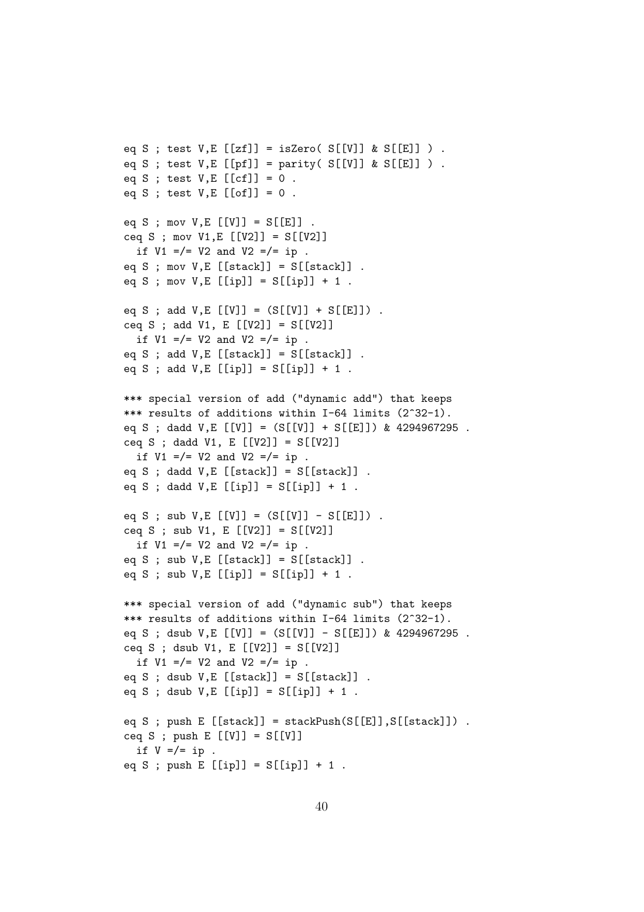```
eq S ; test V.E [zf] = isZero([S[[V]] & S[[E]] ).
eq S ; test V, E [[pf]] = parity( S[[V]] \& S[[E]] ).
eq S ; test V, E [[cf]] = 0.
eq S ; test V, E [[of]] = 0.
eq S ; mov V, E [[V]] = S[[E]] .
ceq S ; mov V1, E [V2]] = S[V2]]
  if V1 = / = V2 and V2 = / = ip.
eq S ; mov V,E [[stack]] = S[[stack]] .
eq S ; mov V, E [[ip]] = S[[ip]] + 1.
eq S ; add V,E [[V]] = (S[[V]] + S[[E]]).
ceq S ; add V1, E [ [V2]] = S[[V2]]if V1 = / = V2 and V2 = / = ip.
eq S ; add V, E [[stack]] = S[[stack]].
eq S ; add V, E [[ip]] = S[[ip]] + 1.
*** special version of add ("dynamic add") that keeps
*** results of additions within I-64 limits (2^32-1).
eq S ; dadd V,E [[V]] = (S[[V]] + S[[E]]) & 4294967295.
ceq S ; dadd V1, E [V2]] = S[V2]]
  if V1 = / = V2 and V2 = / = ip.
eq S ; dadd V, E [[stack]] = S[[stack]].
eq S ; dadd V, E [[ip]] = S[[ip]] + 1.
eq S ; sub V, E [[V]] = (S[[V]] - S[[E]]).
ceq S ; sub V1, E [V2]] = S[V2]]
  if V1 = / = V2 and V2 = / = ip.
eq S ; sub V, E [[stack]] = S[[stack]].
eq S ; sub V, E [[ip]] = S[[ip]] + 1.
*** special version of add ("dynamic sub") that keeps
*** results of additions within I-64 limits (2^32-1).
eq S ; dsub V, E [[V]] = (S[[V]] - S[[E]]) & 4294967295.
ceq S ; dsub V1, E [V2]] = S[V2]]
  if V1 = / = V2 and V2 = / = ip.
eq S ; dsub V, E [[stack]] = S[[stack]].
eq S ; dsub V, E [[ip]] = S[[ip]] + 1.
eq S ; push E [[stack]] = stackPush(S[[E]], S[[stack]]).ceq S ; push E [[V]] = S[[V]]if V = / = ip.
eq S ; push E [[ip]] = S[[ip]] + 1.
```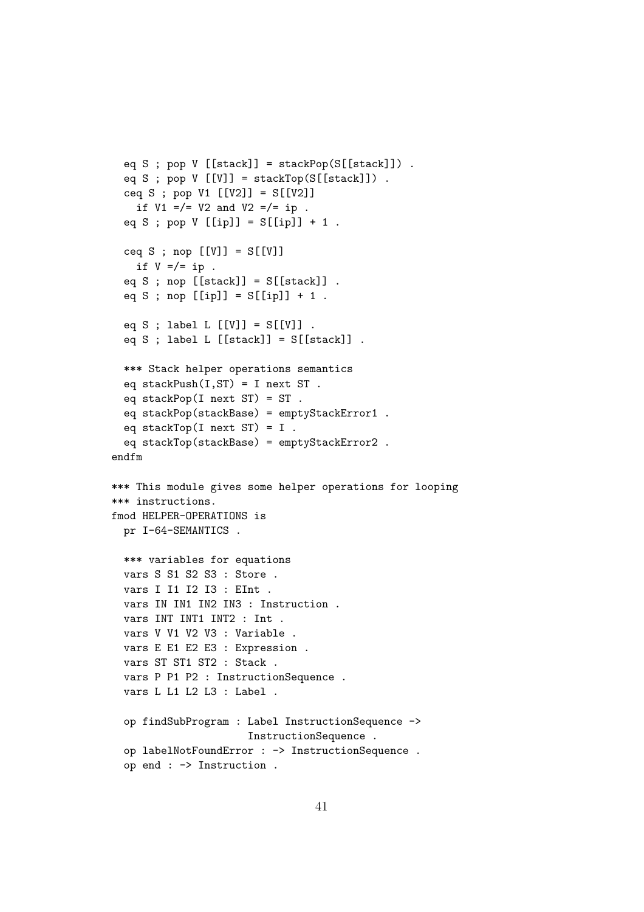```
eq S ; pop V [[stack]] = stackPop(S[[stack]]).
 eq S ; pop V [[V]] = stackTop(S[[stack]]).
 ceq S ; pop V1 [[V2]] = S[[V2]]
    if V1 = / = V2 and V2 = / = ip.
 eq S ; pop V [[ip]] = S[[ip]] + 1.
 ceq S ; nop [[V]] = S[[V]]if V = / = ip.
 eq S ; nop [[stack]] = S[[stack]] .
 eq S ; nop [[ip]] = S[[ip]] + 1.
 eq S ; label L [[V]] = S[[V]] .
 eq S ; label L [[stack]] = S[[stack]] .
 *** Stack helper operations semantics
 eq stackPush(I, ST) = I next ST.
 eq stackPop(I next ST) = ST .
 eq stackPop(stackBase) = emptyStackError1 .
 eq stackTop(I next ST) = I.
 eq stackTop(stackBase) = emptyStackError2 .
endfm
*** This module gives some helper operations for looping
*** instructions.
fmod HELPER-OPERATIONS is
 pr I-64-SEMANTICS .
 *** variables for equations
 vars S S1 S2 S3 : Store .
 vars I I1 I2 I3 : EInt .
 vars IN IN1 IN2 IN3 : Instruction .
 vars INT INT1 INT2 : Int .
 vars V V1 V2 V3 : Variable .
 vars E E1 E2 E3 : Expression .
 vars ST ST1 ST2 : Stack .
 vars P P1 P2 : InstructionSequence .
 vars L L1 L2 L3 : Label .
 op findSubProgram : Label InstructionSequence ->
                      InstructionSequence .
 op labelNotFoundError : -> InstructionSequence .
 op end : -> Instruction .
```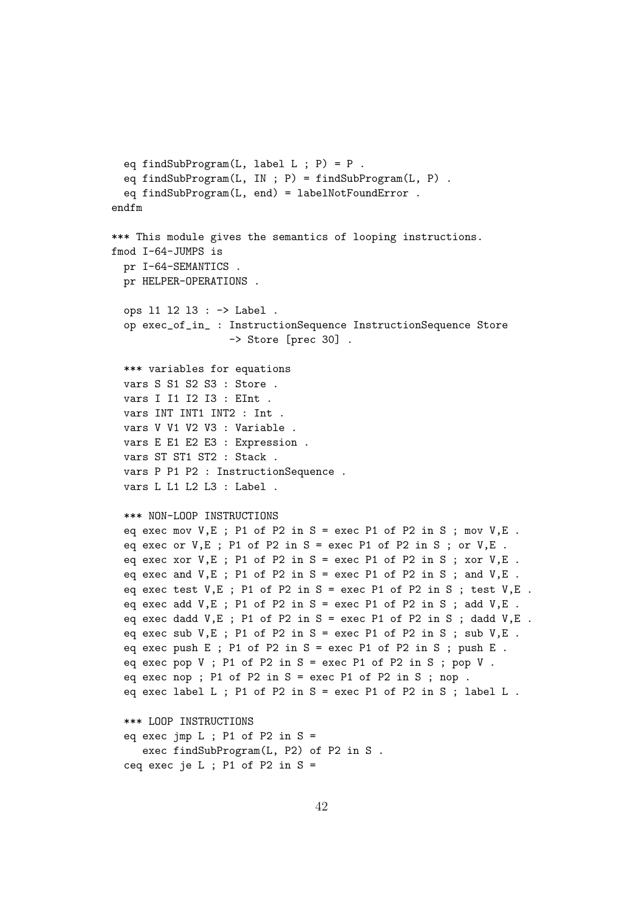```
eq findSubProgram(L, label L ; P) = P.
  eq findSubProgram(L, IN ; P) = findSubProgram(L, P) .
 eq findSubProgram(L, end) = labelNotFoundError .
endfm
*** This module gives the semantics of looping instructions.
fmod I-64-JUMPS is
 pr I-64-SEMANTICS .
 pr HELPER-OPERATIONS .
 ops l1 l2 l3 : -> Label .
 op exec_of_in_ : InstructionSequence InstructionSequence Store
                   -> Store [prec 30] .
 *** variables for equations
 vars S S1 S2 S3 : Store .
 vars I I1 I2 I3 : EInt .
 vars INT INT1 INT2 : Int .
 vars V V1 V2 V3 : Variable .
 vars E E1 E2 E3 : Expression .
 vars ST ST1 ST2 : Stack .
 vars P P1 P2 : InstructionSequence .
 vars L L1 L2 L3 : Label .
 *** NON-LOOP INSTRUCTIONS
 eq exec mov V, E; P1 of P2 in S = exec P1 of P2 in S; mov V, E.
 eq exec or V, E; P1 of P2 in S = exec P1 of P2 in S; or V, E.
 eq exec xor V,E ; P1 of P2 in S = exec P1 of P2 in S ; xor V,E .
 eq exec and V, E; P1 of P2 in S = exec P1 of P2 in S; and V, E.
 eq exec test V, E; P1 of P2 in S = exec P1 of P2 in S; test V, E.
 eq exec add V, E; P1 of P2 in S = exec P1 of P2 in S; add V, E.
 eq exec dadd V, E; P1 of P2 in S = exec P1 of P2 in S; dadd V, E.
 eq exec sub V, E; P1 of P2 in S = exec P1 of P2 in S; sub V, E.
 eq exec push E ; P1 of P2 in S = exec P1 of P2 in S ; push E .
 eq exec pop V; P1 of P2 in S = exec P1 of P2 in S; pop V.
 eq exec nop ; P1 of P2 in S = exec P1 of P2 in S ; nop .
 eq exec label L ; P1 of P2 in S = exec P1 of P2 in S ; label L .
 *** LOOP INSTRUCTIONS
 eq exec jmp L ; P1 of P2 in S =exec findSubProgram(L, P2) of P2 in S .
  ceq exec je L; P1 of P2 in S =
```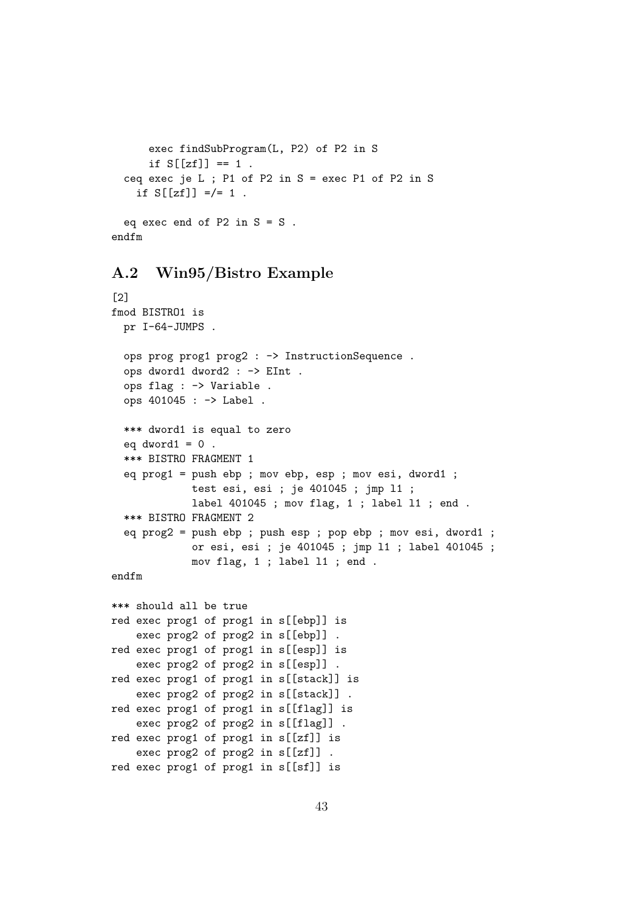```
exec findSubProgram(L, P2) of P2 in S
     if S[[zf]] == 1.
 ceq exec je L ; P1 of P2 in S = exec P1 of P2 in S
   if S[[zf]] =/- 1.
 eq exec end of P2 in S = S.
endfm
```
### A.2 Win95/Bistro Example

```
[2]
fmod BISTRO1 is
  pr I-64-JUMPS .
  ops prog prog1 prog2 : -> InstructionSequence .
  ops dword1 dword2 : -> EInt .
  ops flag : -> Variable .
  ops 401045 : -> Label .
  *** dword1 is equal to zero
  eq dword1 = 0.
  *** BISTRO FRAGMENT 1
  eq prog1 = push ebp ; mov ebp, esp ; mov esi, dword1 ;
             test esi, esi ; je 401045 ; jmp l1 ;
             label 401045 ; mov flag, 1 ; label l1 ; end .
  *** BISTRO FRAGMENT 2
  eq prog2 = push ebp ; push esp ; pop ebp ; mov esi, dword1 ;
             or esi, esi ; je 401045 ; jmp l1 ; label 401045 ;
             mov flag, 1 ; label l1 ; end .
endfm
*** should all be true
red exec prog1 of prog1 in s[[ebp]] is
    exec prog2 of prog2 in s[[ebp]] .
red exec prog1 of prog1 in s[[esp]] is
    exec prog2 of prog2 in s[[esp]] .
red exec prog1 of prog1 in s[[stack]] is
    exec prog2 of prog2 in s[[stack]] .
red exec prog1 of prog1 in s[[flag]] is
    exec prog2 of prog2 in s[[flag]] .
red exec prog1 of prog1 in s[[zf]] is
    exec prog2 of prog2 in s[[zf]] .
```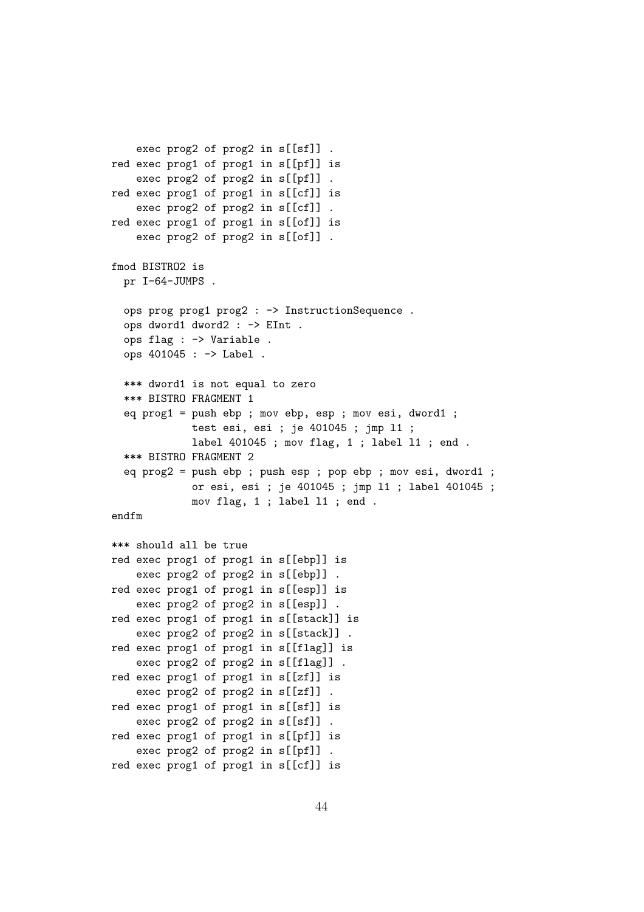```
exec prog2 of prog2 in s[[sf]] .
red exec prog1 of prog1 in s[[pf]] is
    exec prog2 of prog2 in s[[pf]] .
red exec prog1 of prog1 in s[[cf]] is
    exec prog2 of prog2 in s[[cf]] .
red exec prog1 of prog1 in s[[of]] is
    exec prog2 of prog2 in s[[of]] .
fmod BISTRO2 is
  pr I-64-JUMPS .
  ops prog prog1 prog2 : -> InstructionSequence.
  ops dword1 dword2 : -> EInt .
  ops flag : -> Variable .
  ops 401045 : -> Label .
  *** dword1 is not equal to zero
  *** BISTRO FRAGMENT 1
  eq prog1 = push ebp ; mov ebp, esp ; mov esi, dword1 ;
             test esi, esi ; je 401045 ; jmp l1 ;
             label 401045 ; mov flag, 1 ; label l1 ; end .
  *** BISTRO FRAGMENT 2
  eq prog2 = push ebp ; push esp ; pop ebp ; mov esi, dword1 ;
             or esi, esi ; je 401045 ; jmp l1 ; label 401045 ;
             mov flag, 1 ; label l1 ; end .
endfm
*** should all be true
red exec prog1 of prog1 in s[[ebp]] is
    exec prog2 of prog2 in s[[ebp]] .
red exec prog1 of prog1 in s[[esp]] is
    exec prog2 of prog2 in s[[esp]] .
red exec prog1 of prog1 in s[[stack]] is
    exec prog2 of prog2 in s[[stack]] .
red exec prog1 of prog1 in s[[flag]] is
    exec prog2 of prog2 in s[[flag]] .
red exec prog1 of prog1 in s[[zf]] is
    exec prog2 of prog2 in s[[zf]] .
red exec prog1 of prog1 in s[[sf]] is
    exec prog2 of prog2 in s[[sf]] .
red exec prog1 of prog1 in s[[pf]] is
    exec prog2 of prog2 in s[[pf]] .
red exec prog1 of prog1 in s[[cf]] is
```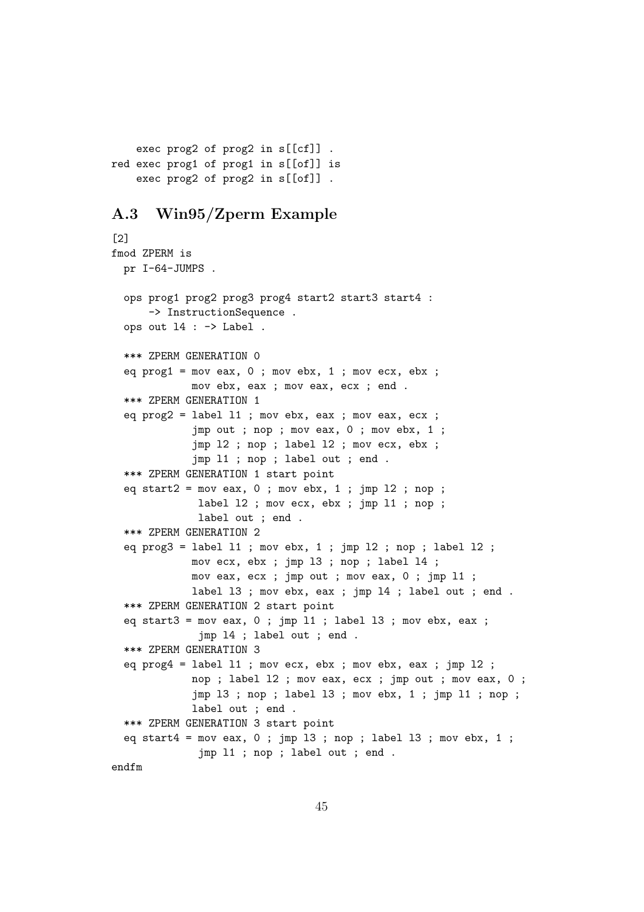```
exec prog2 of prog2 in s[[cf]] .
red exec prog1 of prog1 in s[[of]] is
    exec prog2 of prog2 in s[[of]] .
```
## A.3 Win95/Zperm Example

```
[2]
fmod ZPERM is
 pr I-64-JUMPS .
 ops prog1 prog2 prog3 prog4 start2 start3 start4 :
      -> InstructionSequence .
 ops out l4 : -> Label .
 *** ZPERM GENERATION 0
 eq prog1 = mov eax, 0; mov ebx, 1; mov ecx, ebx;
             mov ebx, eax ; mov eax, ecx ; end .
 *** ZPERM GENERATION 1
 eq prog2 = label 11; mov ebx, eax; mov eax, ecx;
             jmp out ; nop ; mov eax, 0 ; mov ebx, 1 ;
             jmp l2 ; nop ; label l2 ; mov ecx, ebx ;
             jmp l1 ; nop ; label out ; end .
 *** ZPERM GENERATION 1 start point
  eq start2 = \text{mov} eax, 0; mov ebx, 1; jmp 12; nop;
              label 12 ; mov ecx, ebx ; jmp 11 ; nop ;
              label out ; end .
 *** ZPERM GENERATION 2
 eq prog3 = label 11; mov ebx, 1; jmp 12; nop; label 12;
             mov ecx, ebx ; jmp l3 ; nop ; label l4 ;
             mov eax, ecx ; jmp out ; mov eax, 0 ; jmp l1 ;
             label 13 ; mov ebx, eax ; jmp 14 ; label out ; end .
 *** ZPERM GENERATION 2 start point
 eq start3 = \text{mov} eax, 0; jmp 11; label 13; mov ebx, eax;
              jmp l4 ; label out ; end .
 *** ZPERM GENERATION 3
 eq prog4 = label l1 ; mov ecx, ebx ; mov ebx, eax ; jmp l2 ;
             nop ; label l2 ; mov eax, ecx ; jmp out ; mov eax, 0 ;
             jmp l3 ; nop ; label l3 ; mov ebx, 1 ; jmp l1 ; nop ;
             label out ; end .
 *** ZPERM GENERATION 3 start point
  eq start4 = \text{mov} eax, 0; \text{imp} 13; \text{nop}; label 13; \text{mov} ebx, 1;
              jmp l1 ; nop ; label out ; end .
endfm
```